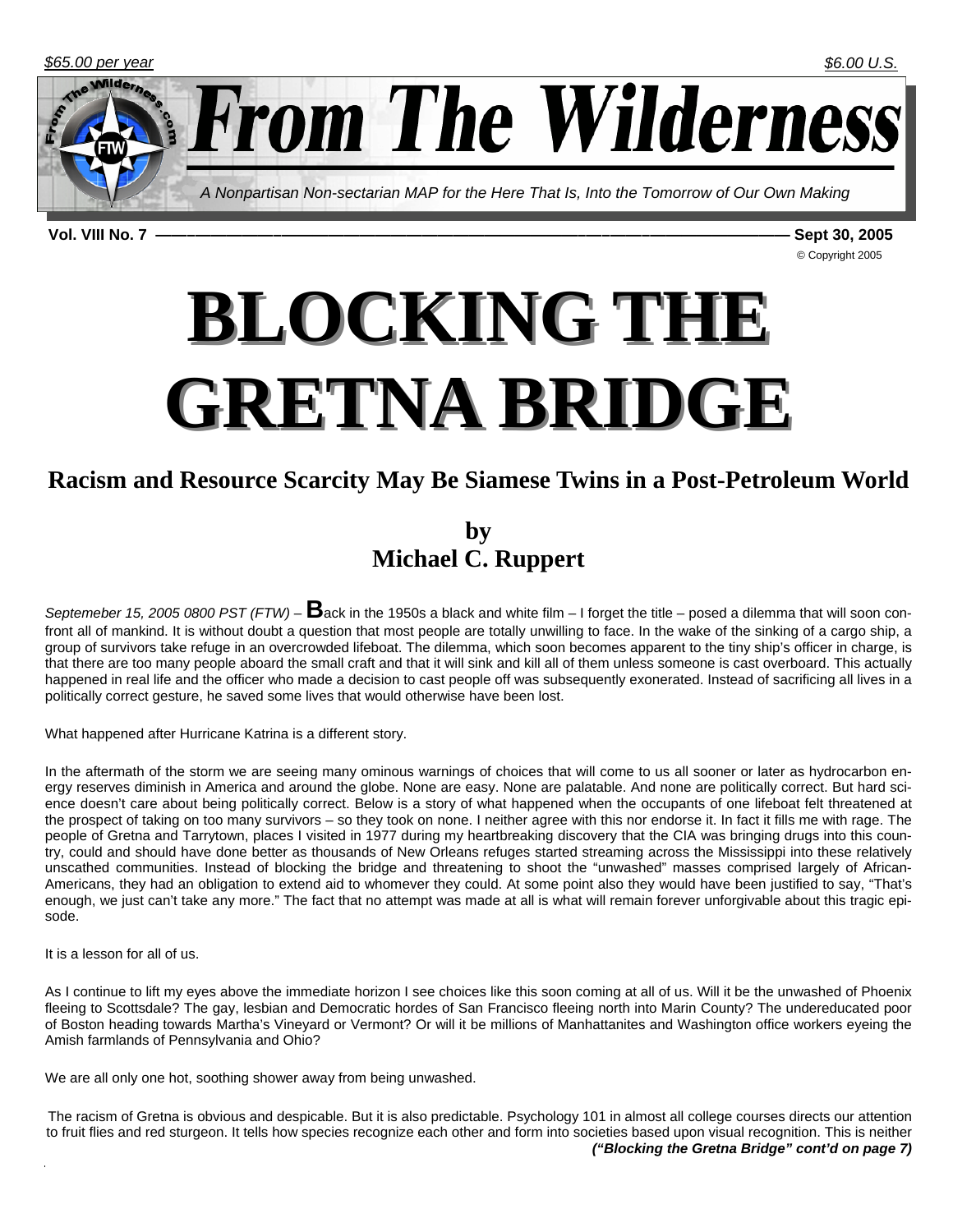*\$65.00 per year \$6.00 U.S.*

rom The Wilderness

*A Nonpartisan Non-sectarian MAP for the Here That Is, Into the Tomorrow of Our Own Making* 

**Vol. VIII No. 7 ——–—————–———————————————————–—–——–————————— Sept 30, 2005** 

© Copyright 2005

# **BLOCKING THE GRETNA BRIDGE GRETNA BRIDGE**

## **Racism and Resource Scarcity May Be Siamese Twins in a Post-Petroleum World**

**by Michael C. Ruppert**

*Septemeber 15, 2005 0800 PST (FTW)* – **B**ack in the 1950s a black and white film – I forget the title – posed a dilemma that will soon confront all of mankind. It is without doubt a question that most people are totally unwilling to face. In the wake of the sinking of a cargo ship, a group of survivors take refuge in an overcrowded lifeboat. The dilemma, which soon becomes apparent to the tiny ship's officer in charge, is that there are too many people aboard the small craft and that it will sink and kill all of them unless someone is cast overboard. This actually happened in real life and the officer who made a decision to cast people off was subsequently exonerated. Instead of sacrificing all lives in a politically correct gesture, he saved some lives that would otherwise have been lost.

What happened after Hurricane Katrina is a different story.

In the aftermath of the storm we are seeing many ominous warnings of choices that will come to us all sooner or later as hydrocarbon energy reserves diminish in America and around the globe. None are easy. None are palatable. And none are politically correct. But hard science doesn't care about being politically correct. Below is a story of what happened when the occupants of one lifeboat felt threatened at the prospect of taking on too many survivors – so they took on none. I neither agree with this nor endorse it. In fact it fills me with rage. The people of Gretna and Tarrytown, places I visited in 1977 during my heartbreaking discovery that the CIA was bringing drugs into this country, could and should have done better as thousands of New Orleans refuges started streaming across the Mississippi into these relatively unscathed communities. Instead of blocking the bridge and threatening to shoot the "unwashed" masses comprised largely of African-Americans, they had an obligation to extend aid to whomever they could. At some point also they would have been justified to say, "That's enough, we just can't take any more." The fact that no attempt was made at all is what will remain forever unforgivable about this tragic episode.

It is a lesson for all of us.

As I continue to lift my eyes above the immediate horizon I see choices like this soon coming at all of us. Will it be the unwashed of Phoenix fleeing to Scottsdale? The gay, lesbian and Democratic hordes of San Francisco fleeing north into Marin County? The undereducated poor of Boston heading towards Martha's Vineyard or Vermont? Or will it be millions of Manhattanites and Washington office workers eyeing the Amish farmlands of Pennsylvania and Ohio?

We are all only one hot, soothing shower away from being unwashed.

The racism of Gretna is obvious and despicable. But it is also predictable. Psychology 101 in almost all college courses directs our attention to fruit flies and red sturgeon. It tells how species recognize each other and form into societies based upon visual recognition. This is neither

*("Blocking the Gretna Bridge" cont'd on page 7)*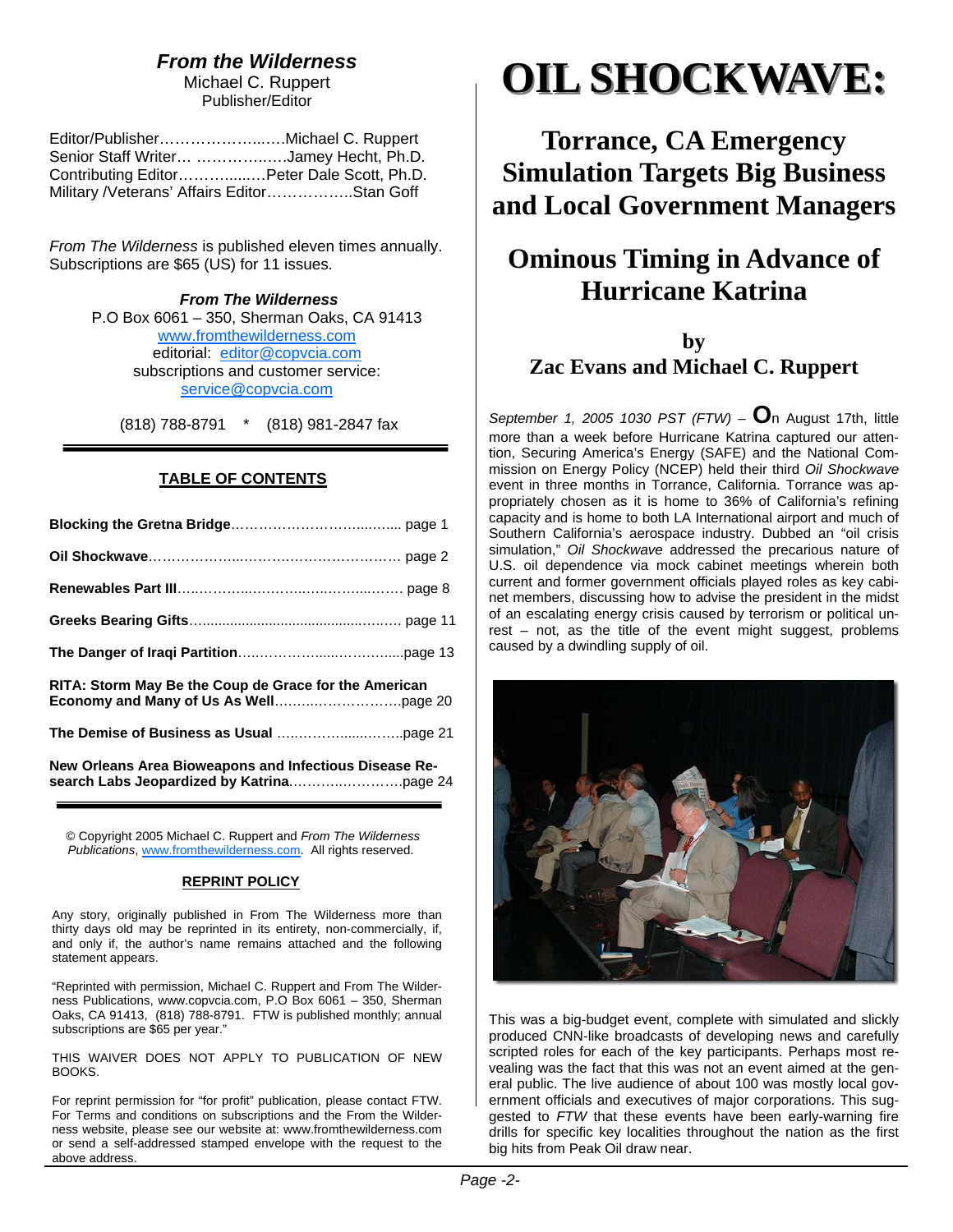### *From the Wilderness*

Michael C. Ruppert Publisher/Editor

| Senior Staff Writer Jamey Hecht, Ph.D.      |  |
|---------------------------------------------|--|
| Contributing EditorPeter Dale Scott, Ph.D.  |  |
| Military /Veterans' Affairs EditorStan Goff |  |

*From The Wilderness* is published eleven times annually. Subscriptions are \$65 (US) for 11 issues.

> *From The Wilderness*  P.O Box 6061 – 350, Sherman Oaks, CA 91413 www.fromthewilderness.com editorial: editor@copvcia.com subscriptions and customer service: service@copvcia.com

(818) 788-8791 \* (818) 981-2847 fax

#### **TABLE OF CONTENTS**

| RITA: Storm May Be the Coup de Grace for the American  |  |
|--------------------------------------------------------|--|
|                                                        |  |
| Now Orleans, Area Diawsonana and Infectious Disease De |  |

**New Orleans Area Bioweapons and Infectious Disease Research Labs Jeopardized by Katrina**.………..………….page 24

© Copyright 2005 Michael C. Ruppert and *From The Wilderness Publications*, www.fromthewilderness.com. All rights reserved.

#### **REPRINT POLICY**

Any story, originally published in From The Wilderness more than thirty days old may be reprinted in its entirety, non-commercially, if, and only if, the author's name remains attached and the following statement appears.

"Reprinted with permission, Michael C. Ruppert and From The Wilderness Publications, www.copvcia.com, P.O Box 6061 – 350, Sherman Oaks, CA 91413, (818) 788-8791. FTW is published monthly; annual subscriptions are \$65 per year."

THIS WAIVER DOES NOT APPLY TO PUBLICATION OF NEW BOOKS.

For reprint permission for "for profit" publication, please contact FTW. For Terms and conditions on subscriptions and the From the Wilderness website, please see our website at: www.fromthewilderness.com or send a self-addressed stamped envelope with the request to the above address.

## **OIL SHOCKWAVE: OIL SHOCKWAVE:**

## **Torrance, CA Emergency Simulation Targets Big Business and Local Government Managers**

## **Ominous Timing in Advance of Hurricane Katrina**

**by** 

### **Zac Evans and Michael C. Ruppert**

*September 1, 2005 1030 PST (FTW)* – **O**n August 17th, little more than a week before Hurricane Katrina captured our attention, Securing America's Energy (SAFE) and the National Commission on Energy Policy (NCEP) held their third *Oil Shockwave* event in three months in Torrance, California. Torrance was appropriately chosen as it is home to 36% of California's refining capacity and is home to both LA International airport and much of Southern California's aerospace industry. Dubbed an "oil crisis simulation," *Oil Shockwave* addressed the precarious nature of U.S. oil dependence via mock cabinet meetings wherein both current and former government officials played roles as key cabinet members, discussing how to advise the president in the midst of an escalating energy crisis caused by terrorism or political unrest – not, as the title of the event might suggest, problems caused by a dwindling supply of oil.



This was a big-budget event, complete with simulated and slickly produced CNN-like broadcasts of developing news and carefully scripted roles for each of the key participants. Perhaps most revealing was the fact that this was not an event aimed at the general public. The live audience of about 100 was mostly local government officials and executives of major corporations. This suggested to *FTW* that these events have been early-warning fire drills for specific key localities throughout the nation as the first big hits from Peak Oil draw near.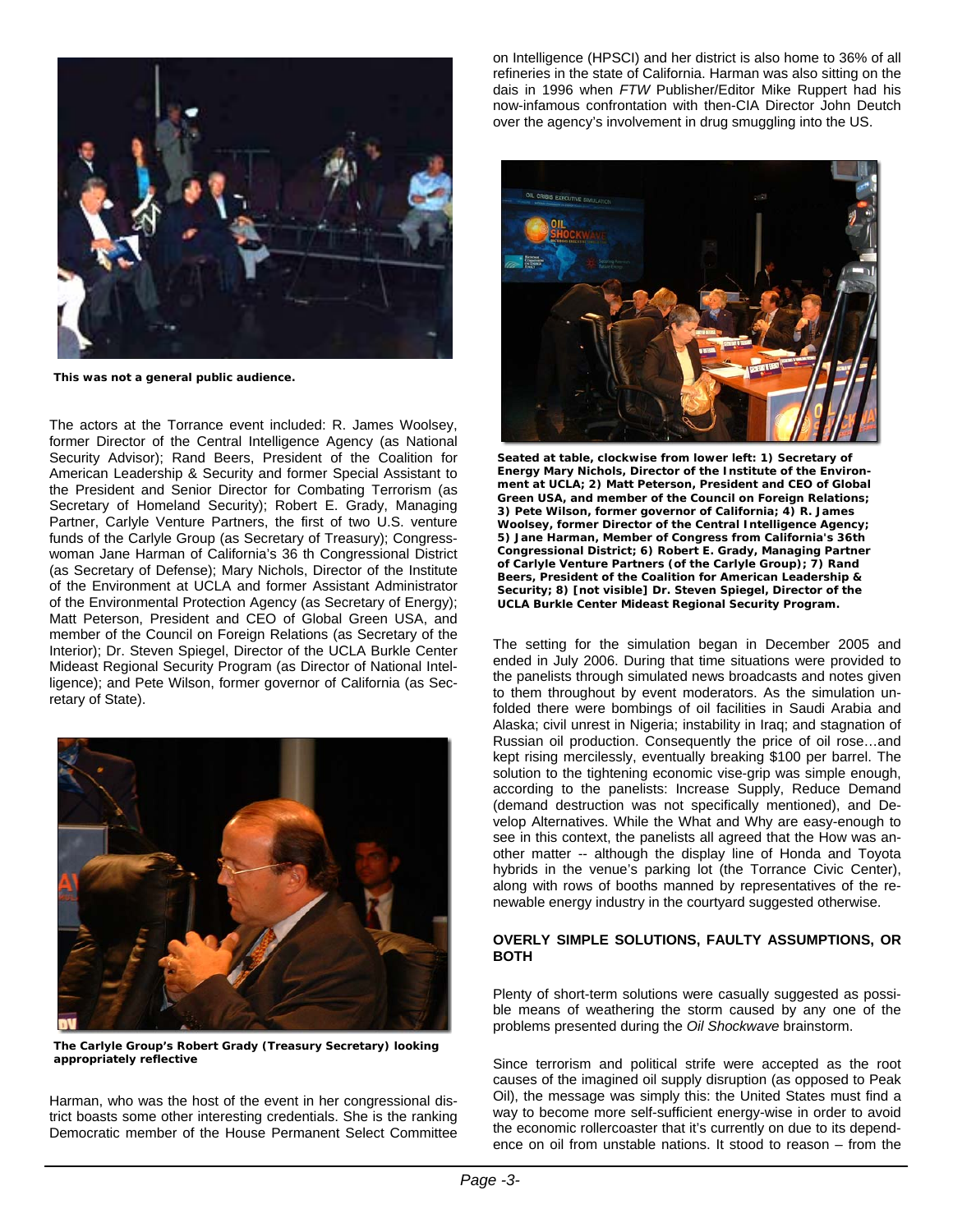

**This was not a general public audience.** 

The actors at the Torrance event included: R. James Woolsey, former Director of the Central Intelligence Agency (as National Security Advisor); Rand Beers, President of the Coalition for American Leadership & Security and former Special Assistant to the President and Senior Director for Combating Terrorism (as Secretary of Homeland Security); Robert E. Grady, Managing Partner, Carlyle Venture Partners, the first of two U.S. venture funds of the Carlyle Group (as Secretary of Treasury); Congresswoman Jane Harman of California's 36 th Congressional District (as Secretary of Defense); Mary Nichols, Director of the Institute of the Environment at UCLA and former Assistant Administrator of the Environmental Protection Agency (as Secretary of Energy); Matt Peterson, President and CEO of Global Green USA, and member of the Council on Foreign Relations (as Secretary of the Interior); Dr. Steven Spiegel, Director of the UCLA Burkle Center Mideast Regional Security Program (as Director of National Intelligence); and Pete Wilson, former governor of California (as Secretary of State).



**The Carlyle Group's Robert Grady (Treasury Secretary) looking appropriately reflective** 

Harman, who was the host of the event in her congressional district boasts some other interesting credentials. She is the ranking Democratic member of the House Permanent Select Committee on Intelligence (HPSCI) and her district is also home to 36% of all refineries in the state of California. Harman was also sitting on the dais in 1996 when *FTW* Publisher/Editor Mike Ruppert had his now-infamous confrontation with then-CIA Director John Deutch over the agency's involvement in drug smuggling into the US.



**Seated at table, clockwise from lower left: 1) Secretary of Energy Mary Nichols, Director of the Institute of the Environment at UCLA; 2) Matt Peterson, President and CEO of Global Green USA, and member of the Council on Foreign Relations; 3) Pete Wilson, former governor of California; 4) R. James Woolsey, former Director of the Central Intelligence Agency; 5) Jane Harman, Member of Congress from California's 36th Congressional District; 6) Robert E. Grady, Managing Partner of Carlyle Venture Partners (of the Carlyle Group); 7) Rand Beers, President of the Coalition for American Leadership & Security; 8) [not visible] Dr. Steven Spiegel, Director of the UCLA Burkle Center Mideast Regional Security Program.** 

The setting for the simulation began in December 2005 and ended in July 2006. During that time situations were provided to the panelists through simulated news broadcasts and notes given to them throughout by event moderators. As the simulation unfolded there were bombings of oil facilities in Saudi Arabia and Alaska; civil unrest in Nigeria; instability in Iraq; and stagnation of Russian oil production. Consequently the price of oil rose…and kept rising mercilessly, eventually breaking \$100 per barrel. The solution to the tightening economic vise-grip was simple enough, according to the panelists: Increase Supply, Reduce Demand (demand destruction was not specifically mentioned), and Develop Alternatives. While the What and Why are easy-enough to see in this context, the panelists all agreed that the How was another matter -- although the display line of Honda and Toyota hybrids in the venue's parking lot (the Torrance Civic Center), along with rows of booths manned by representatives of the renewable energy industry in the courtyard suggested otherwise.

#### **OVERLY SIMPLE SOLUTIONS, FAULTY ASSUMPTIONS, OR BOTH**

Plenty of short-term solutions were casually suggested as possible means of weathering the storm caused by any one of the problems presented during the *Oil Shockwave* brainstorm.

Since terrorism and political strife were accepted as the root causes of the imagined oil supply disruption (as opposed to Peak Oil), the message was simply this: the United States must find a way to become more self-sufficient energy-wise in order to avoid the economic rollercoaster that it's currently on due to its dependence on oil from unstable nations. It stood to reason – from the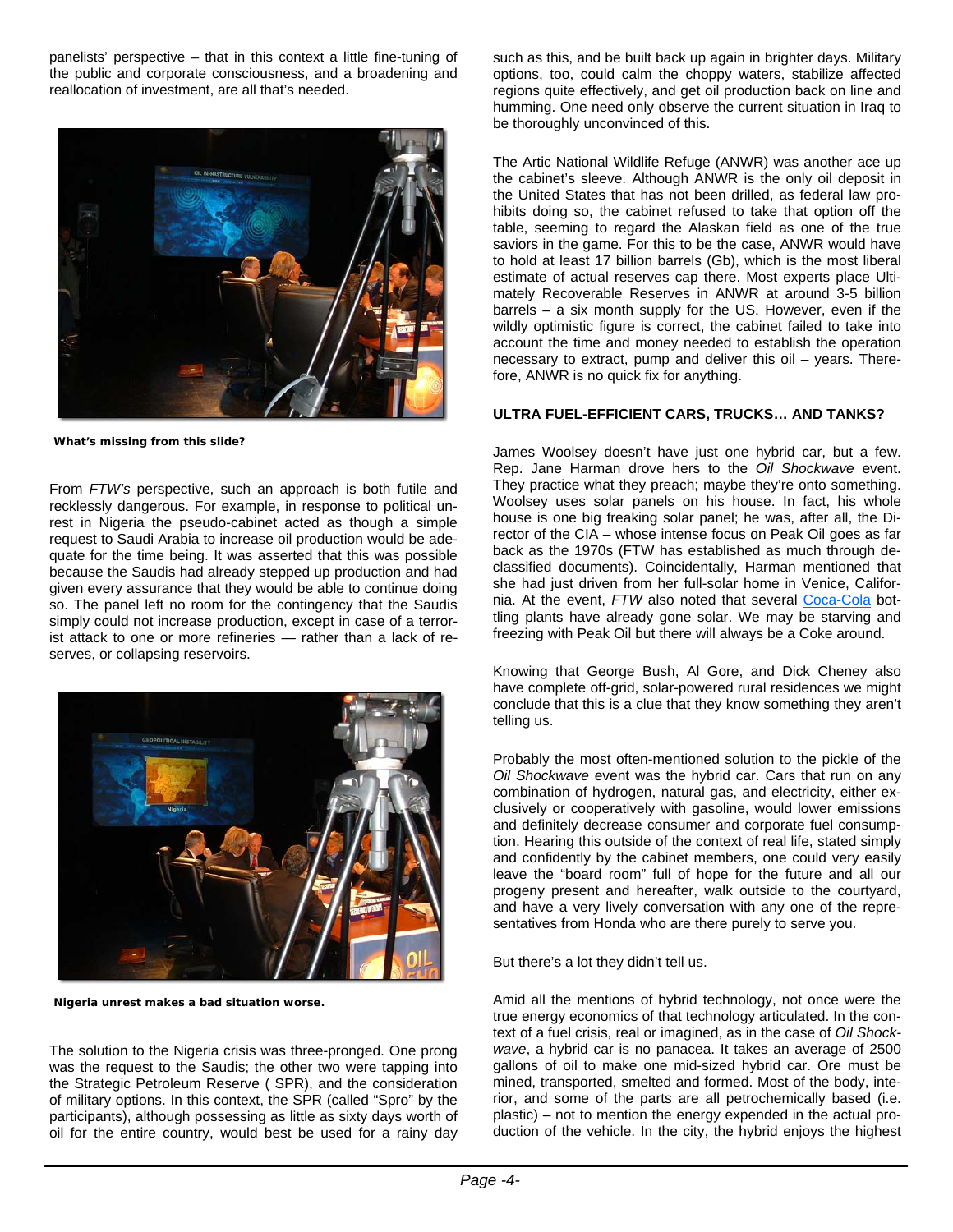panelists' perspective – that in this context a little fine-tuning of the public and corporate consciousness, and a broadening and reallocation of investment, are all that's needed.



**What's missing from this slide?** 

From *FTW's* perspective, such an approach is both futile and recklessly dangerous. For example, in response to political unrest in Nigeria the pseudo-cabinet acted as though a simple request to Saudi Arabia to increase oil production would be adequate for the time being. It was asserted that this was possible because the Saudis had already stepped up production and had given every assurance that they would be able to continue doing so. The panel left no room for the contingency that the Saudis simply could not increase production, except in case of a terrorist attack to one or more refineries — rather than a lack of reserves, or collapsing reservoirs.



**Nigeria unrest makes a bad situation worse.** 

The solution to the Nigeria crisis was three-pronged. One prong was the request to the Saudis; the other two were tapping into the Strategic Petroleum Reserve ( SPR), and the consideration of military options. In this context, the SPR (called "Spro" by the participants), although possessing as little as sixty days worth of oil for the entire country, would best be used for a rainy day such as this, and be built back up again in brighter days. Military options, too, could calm the choppy waters, stabilize affected regions quite effectively, and get oil production back on line and humming. One need only observe the current situation in Iraq to be thoroughly unconvinced of this.

The Artic National Wildlife Refuge (ANWR) was another ace up the cabinet's sleeve. Although ANWR is the only oil deposit in the United States that has not been drilled, as federal law prohibits doing so, the cabinet refused to take that option off the table, seeming to regard the Alaskan field as one of the true saviors in the game. For this to be the case, ANWR would have to hold at least 17 billion barrels (Gb), which is the most liberal estimate of actual reserves cap there. Most experts place Ultimately Recoverable Reserves in ANWR at around 3-5 billion barrels – a six month supply for the US. However, even if the wildly optimistic figure is correct, the cabinet failed to take into account the time and money needed to establish the operation necessary to extract, pump and deliver this oil – years. Therefore, ANWR is no quick fix for anything.

#### **ULTRA FUEL-EFFICIENT CARS, TRUCKS… AND TANKS?**

James Woolsey doesn't have just one hybrid car, but a few. Rep. Jane Harman drove hers to the *Oil Shockwave* event. They practice what they preach; maybe they're onto something. Woolsey uses solar panels on his house. In fact, his whole house is one big freaking solar panel; he was, after all, the Director of the CIA – whose intense focus on Peak Oil goes as far back as the 1970s (FTW has established as much through declassified documents). Coincidentally, Harman mentioned that she had just driven from her full-solar home in Venice, California. At the event, *FTW* also noted that several Coca-Cola bottling plants have already gone solar. We may be starving and freezing with Peak Oil but there will always be a Coke around.

Knowing that George Bush, Al Gore, and Dick Cheney also have complete off-grid, solar-powered rural residences we might conclude that this is a clue that they know something they aren't telling us.

Probably the most often-mentioned solution to the pickle of the *Oil Shockwave* event was the hybrid car. Cars that run on any combination of hydrogen, natural gas, and electricity, either exclusively or cooperatively with gasoline, would lower emissions and definitely decrease consumer and corporate fuel consumption. Hearing this outside of the context of real life, stated simply and confidently by the cabinet members, one could very easily leave the "board room" full of hope for the future and all our progeny present and hereafter, walk outside to the courtyard, and have a very lively conversation with any one of the representatives from Honda who are there purely to serve you.

But there's a lot they didn't tell us.

Amid all the mentions of hybrid technology, not once were the true energy economics of that technology articulated. In the context of a fuel crisis, real or imagined, as in the case of *Oil Shockwave*, a hybrid car is no panacea. It takes an average of 2500 gallons of oil to make one mid-sized hybrid car. Ore must be mined, transported, smelted and formed. Most of the body, interior, and some of the parts are all petrochemically based (i.e. plastic) – not to mention the energy expended in the actual production of the vehicle. In the city, the hybrid enjoys the highest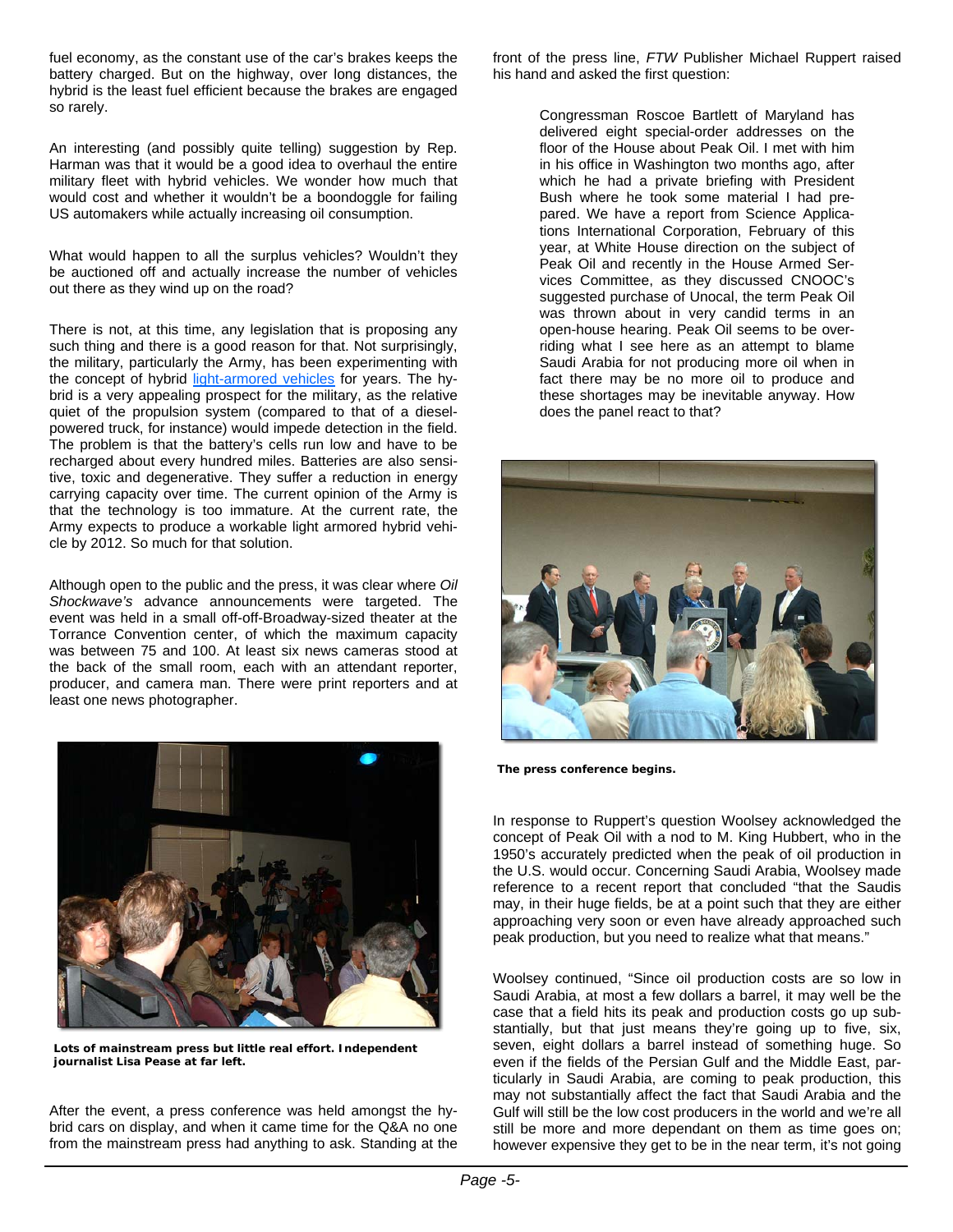fuel economy, as the constant use of the car's brakes keeps the battery charged. But on the highway, over long distances, the hybrid is the least fuel efficient because the brakes are engaged so rarely.

An interesting (and possibly quite telling) suggestion by Rep. Harman was that it would be a good idea to overhaul the entire military fleet with hybrid vehicles. We wonder how much that would cost and whether it wouldn't be a boondoggle for failing US automakers while actually increasing oil consumption.

What would happen to all the surplus vehicles? Wouldn't they be auctioned off and actually increase the number of vehicles out there as they wind up on the road?

There is not, at this time, any legislation that is proposing any such thing and there is a good reason for that. Not surprisingly, the military, particularly the Army, has been experimenting with the concept of hybrid light-armored vehicles for years. The hybrid is a very appealing prospect for the military, as the relative quiet of the propulsion system (compared to that of a dieselpowered truck, for instance) would impede detection in the field. The problem is that the battery's cells run low and have to be recharged about every hundred miles. Batteries are also sensitive, toxic and degenerative. They suffer a reduction in energy carrying capacity over time. The current opinion of the Army is that the technology is too immature. At the current rate, the Army expects to produce a workable light armored hybrid vehicle by 2012. So much for that solution.

Although open to the public and the press, it was clear where *Oil Shockwave's* advance announcements were targeted. The event was held in a small off-off-Broadway-sized theater at the Torrance Convention center, of which the maximum capacity was between 75 and 100. At least six news cameras stood at the back of the small room, each with an attendant reporter, producer, and camera man. There were print reporters and at least one news photographer.



**Lots of mainstream press but little real effort. Independent journalist Lisa Pease at far left.** 

After the event, a press conference was held amongst the hybrid cars on display, and when it came time for the Q&A no one from the mainstream press had anything to ask. Standing at the front of the press line, *FTW* Publisher Michael Ruppert raised his hand and asked the first question:

> Congressman Roscoe Bartlett of Maryland has delivered eight special-order addresses on the floor of the House about Peak Oil. I met with him in his office in Washington two months ago, after which he had a private briefing with President Bush where he took some material I had prepared. We have a report from Science Applications International Corporation, February of this year, at White House direction on the subject of Peak Oil and recently in the House Armed Services Committee, as they discussed CNOOC's suggested purchase of Unocal, the term Peak Oil was thrown about in very candid terms in an open-house hearing. Peak Oil seems to be overriding what I see here as an attempt to blame Saudi Arabia for not producing more oil when in fact there may be no more oil to produce and these shortages may be inevitable anyway. How does the panel react to that?



**The press conference begins.** 

In response to Ruppert's question Woolsey acknowledged the concept of Peak Oil with a nod to M. King Hubbert, who in the 1950's accurately predicted when the peak of oil production in the U.S. would occur. Concerning Saudi Arabia, Woolsey made reference to a recent report that concluded "that the Saudis may, in their huge fields, be at a point such that they are either approaching very soon or even have already approached such peak production, but you need to realize what that means."

Woolsey continued, "Since oil production costs are so low in Saudi Arabia, at most a few dollars a barrel, it may well be the case that a field hits its peak and production costs go up substantially, but that just means they're going up to five, six, seven, eight dollars a barrel instead of something huge. So even if the fields of the Persian Gulf and the Middle East, particularly in Saudi Arabia, are coming to peak production, this may not substantially affect the fact that Saudi Arabia and the Gulf will still be the low cost producers in the world and we're all still be more and more dependant on them as time goes on; however expensive they get to be in the near term, it's not going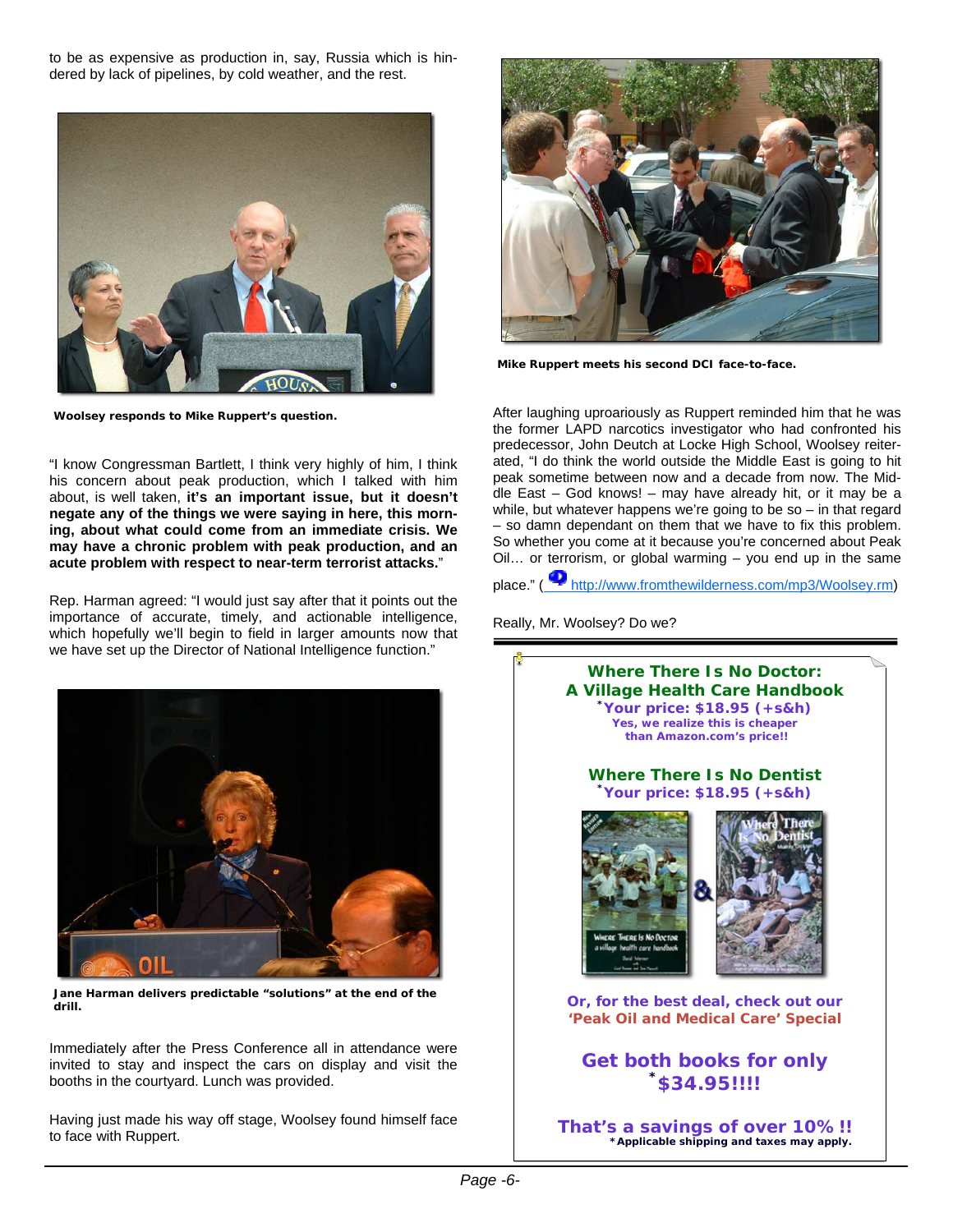to be as expensive as production in, say, Russia which is hindered by lack of pipelines, by cold weather, and the rest.



**Woolsey responds to Mike Ruppert's question.** 

"I know Congressman Bartlett, I think very highly of him, I think his concern about peak production, which I talked with him about, is well taken, **it's an important issue, but it doesn't negate any of the things we were saying in here, this morning, about what could come from an immediate crisis. We may have a chronic problem with peak production, and an acute problem with respect to near-term terrorist attacks.**"

Rep. Harman agreed: "I would just say after that it points out the importance of accurate, timely, and actionable intelligence, which hopefully we'll begin to field in larger amounts now that we have set up the Director of National Intelligence function."



**Jane Harman delivers predictable "solutions" at the end of the drill.** 

Immediately after the Press Conference all in attendance were invited to stay and inspect the cars on display and visit the booths in the courtyard. Lunch was provided.

Having just made his way off stage, Woolsey found himself face to face with Ruppert.



**Mike Ruppert meets his second DCI face-to-face.** 

After laughing uproariously as Ruppert reminded him that he was the former LAPD narcotics investigator who had confronted his predecessor, John Deutch at Locke High School, Woolsey reiterated, "I do think the world outside the Middle East is going to hit peak sometime between now and a decade from now. The Middle East – God knows! – may have already hit, or it may be a while, but whatever happens we're going to be so – in that regard – so damn dependant on them that we have to fix this problem. So whether you come at it because you're concerned about Peak Oil… or terrorism, or global warming – you end up in the same

place." ( http://www.fromthewilderness.com/mp3/Woolsey.rm)

Really, Mr. Woolsey? Do we?

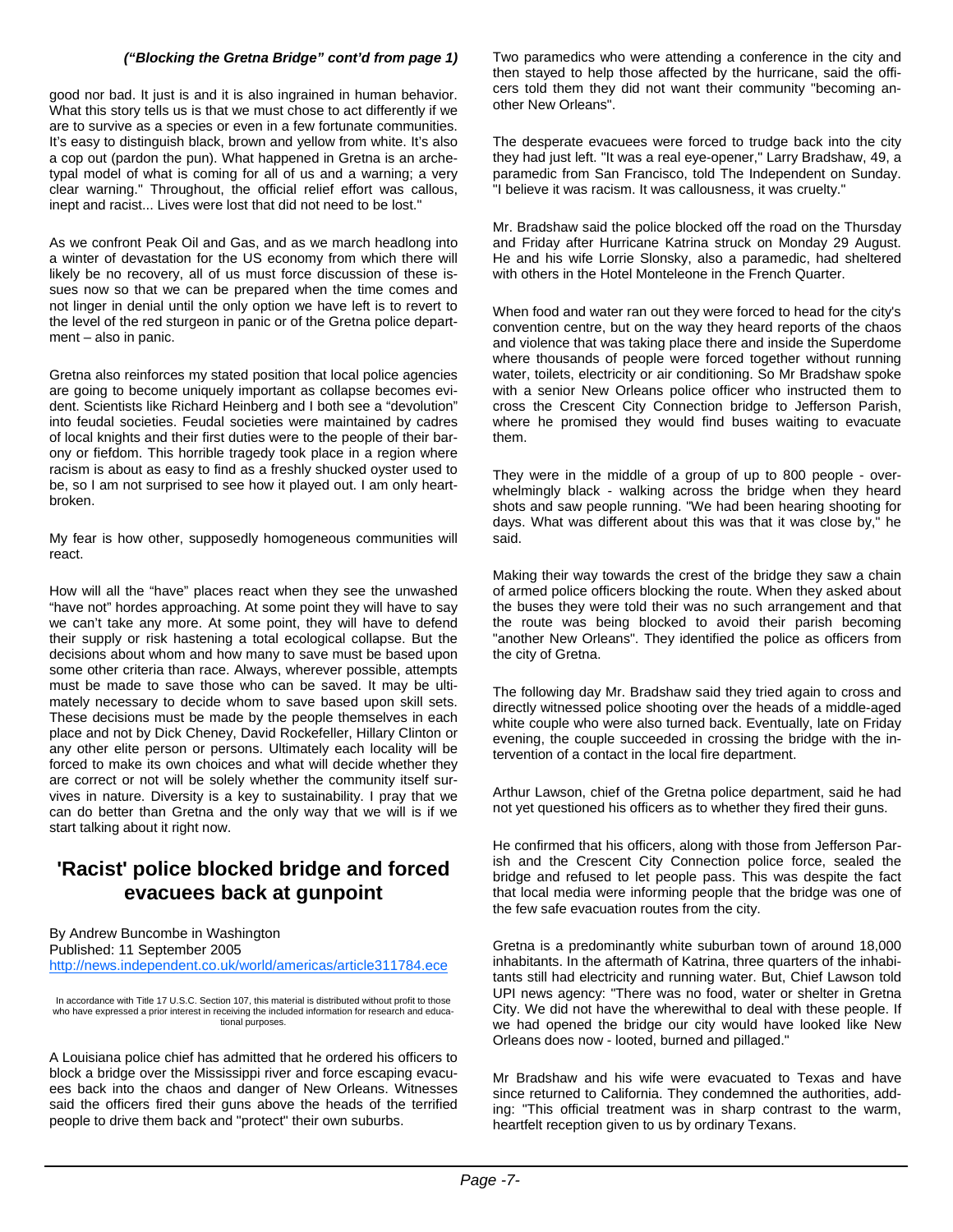#### *("Blocking the Gretna Bridge" cont'd from page 1)*

good nor bad. It just is and it is also ingrained in human behavior. What this story tells us is that we must chose to act differently if we are to survive as a species or even in a few fortunate communities. It's easy to distinguish black, brown and yellow from white. It's also a cop out (pardon the pun). What happened in Gretna is an archetypal model of what is coming for all of us and a warning; a very clear warning." Throughout, the official relief effort was callous, inept and racist... Lives were lost that did not need to be lost."

As we confront Peak Oil and Gas, and as we march headlong into a winter of devastation for the US economy from which there will likely be no recovery, all of us must force discussion of these issues now so that we can be prepared when the time comes and not linger in denial until the only option we have left is to revert to the level of the red sturgeon in panic or of the Gretna police department – also in panic.

Gretna also reinforces my stated position that local police agencies are going to become uniquely important as collapse becomes evident. Scientists like Richard Heinberg and I both see a "devolution" into feudal societies. Feudal societies were maintained by cadres of local knights and their first duties were to the people of their barony or fiefdom. This horrible tragedy took place in a region where racism is about as easy to find as a freshly shucked oyster used to be, so I am not surprised to see how it played out. I am only heartbroken.

My fear is how other, supposedly homogeneous communities will react.

How will all the "have" places react when they see the unwashed "have not" hordes approaching. At some point they will have to say we can't take any more. At some point, they will have to defend their supply or risk hastening a total ecological collapse. But the decisions about whom and how many to save must be based upon some other criteria than race. Always, wherever possible, attempts must be made to save those who can be saved. It may be ultimately necessary to decide whom to save based upon skill sets. These decisions must be made by the people themselves in each place and not by Dick Cheney, David Rockefeller, Hillary Clinton or any other elite person or persons. Ultimately each locality will be forced to make its own choices and what will decide whether they are correct or not will be solely whether the community itself survives in nature. Diversity is a key to sustainability. I pray that we can do better than Gretna and the only way that we will is if we start talking about it right now.

### **'Racist' police blocked bridge and forced evacuees back at gunpoint**

By Andrew Buncombe in Washington Published: 11 September 2005 http://news.independent.co.uk/world/americas/article311784.ece

In accordance with Title 17 U.S.C. Section 107, this material is distributed without profit to those who have expressed a prior interest in receiving the included information for research and educational purposes.

A Louisiana police chief has admitted that he ordered his officers to block a bridge over the Mississippi river and force escaping evacuees back into the chaos and danger of New Orleans. Witnesses said the officers fired their guns above the heads of the terrified people to drive them back and "protect" their own suburbs.

Two paramedics who were attending a conference in the city and then stayed to help those affected by the hurricane, said the officers told them they did not want their community "becoming another New Orleans".

The desperate evacuees were forced to trudge back into the city they had just left. "It was a real eye-opener," Larry Bradshaw, 49, a paramedic from San Francisco, told The Independent on Sunday. "I believe it was racism. It was callousness, it was cruelty."

Mr. Bradshaw said the police blocked off the road on the Thursday and Friday after Hurricane Katrina struck on Monday 29 August. He and his wife Lorrie Slonsky, also a paramedic, had sheltered with others in the Hotel Monteleone in the French Quarter.

When food and water ran out they were forced to head for the city's convention centre, but on the way they heard reports of the chaos and violence that was taking place there and inside the Superdome where thousands of people were forced together without running water, toilets, electricity or air conditioning. So Mr Bradshaw spoke with a senior New Orleans police officer who instructed them to cross the Crescent City Connection bridge to Jefferson Parish, where he promised they would find buses waiting to evacuate them.

They were in the middle of a group of up to 800 people - overwhelmingly black - walking across the bridge when they heard shots and saw people running. "We had been hearing shooting for days. What was different about this was that it was close by," he said.

Making their way towards the crest of the bridge they saw a chain of armed police officers blocking the route. When they asked about the buses they were told their was no such arrangement and that the route was being blocked to avoid their parish becoming "another New Orleans". They identified the police as officers from the city of Gretna.

The following day Mr. Bradshaw said they tried again to cross and directly witnessed police shooting over the heads of a middle-aged white couple who were also turned back. Eventually, late on Friday evening, the couple succeeded in crossing the bridge with the intervention of a contact in the local fire department.

Arthur Lawson, chief of the Gretna police department, said he had not yet questioned his officers as to whether they fired their guns.

He confirmed that his officers, along with those from Jefferson Parish and the Crescent City Connection police force, sealed the bridge and refused to let people pass. This was despite the fact that local media were informing people that the bridge was one of the few safe evacuation routes from the city.

Gretna is a predominantly white suburban town of around 18,000 inhabitants. In the aftermath of Katrina, three quarters of the inhabitants still had electricity and running water. But, Chief Lawson told UPI news agency: "There was no food, water or shelter in Gretna City. We did not have the wherewithal to deal with these people. If we had opened the bridge our city would have looked like New Orleans does now - looted, burned and pillaged."

Mr Bradshaw and his wife were evacuated to Texas and have since returned to California. They condemned the authorities, adding: "This official treatment was in sharp contrast to the warm, heartfelt reception given to us by ordinary Texans.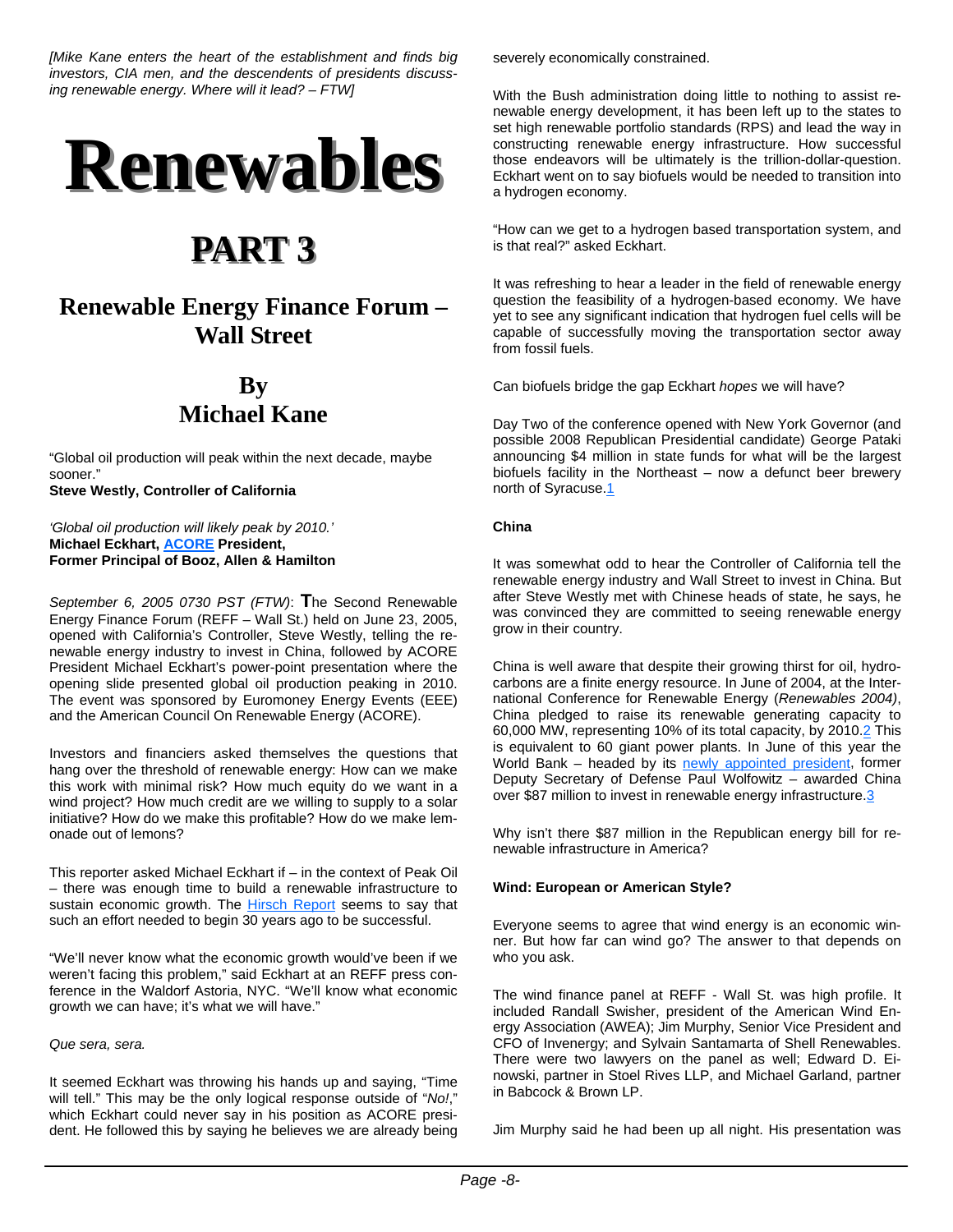*[Mike Kane enters the heart of the establishment and finds big investors, CIA men, and the descendents of presidents discussing renewable energy. Where will it lead? – FTW]*



## **PART 3**

## **Renewable Energy Finance Forum – Wall Street**

## **By Michael Kane**

"Global oil production will peak within the next decade, maybe sooner."

**Steve Westly, Controller of California**

*'Global oil production will likely peak by 2010.'*  **Michael Eckhart, ACORE President, Former Principal of Booz, Allen & Hamilton**

*September 6, 2005 0730 PST (FTW)*: **T**he Second Renewable Energy Finance Forum (REFF – Wall St.) held on June 23, 2005, opened with California's Controller, Steve Westly, telling the renewable energy industry to invest in China, followed by ACORE President Michael Eckhart's power-point presentation where the opening slide presented global oil production peaking in 2010. The event was sponsored by Euromoney Energy Events (EEE) and the American Council On Renewable Energy (ACORE).

Investors and financiers asked themselves the questions that hang over the threshold of renewable energy: How can we make this work with minimal risk? How much equity do we want in a wind project? How much credit are we willing to supply to a solar initiative? How do we make this profitable? How do we make lemonade out of lemons?

This reporter asked Michael Eckhart if – in the context of Peak Oil – there was enough time to build a renewable infrastructure to sustain economic growth. The **Hirsch Report** seems to say that such an effort needed to begin 30 years ago to be successful.

"We'll never know what the economic growth would've been if we weren't facing this problem," said Eckhart at an REFF press conference in the Waldorf Astoria, NYC. "We'll know what economic growth we can have; it's what we will have."

#### *Que sera, sera.*

It seemed Eckhart was throwing his hands up and saying, "Time will tell." This may be the only logical response outside of "*No!*," which Eckhart could never say in his position as ACORE president. He followed this by saying he believes we are already being severely economically constrained.

With the Bush administration doing little to nothing to assist renewable energy development, it has been left up to the states to set high renewable portfolio standards (RPS) and lead the way in constructing renewable energy infrastructure. How successful those endeavors will be ultimately is the trillion-dollar-question. Eckhart went on to say biofuels would be needed to transition into a hydrogen economy.

"How can we get to a hydrogen based transportation system, and is that real?" asked Eckhart.

It was refreshing to hear a leader in the field of renewable energy question the feasibility of a hydrogen-based economy. We have yet to see any significant indication that hydrogen fuel cells will be capable of successfully moving the transportation sector away from fossil fuels.

Can biofuels bridge the gap Eckhart *hopes* we will have?

Day Two of the conference opened with New York Governor (and possible 2008 Republican Presidential candidate) George Pataki announcing \$4 million in state funds for what will be the largest biofuels facility in the Northeast – now a defunct beer brewery north of Syracuse.1

#### **China**

It was somewhat odd to hear the Controller of California tell the renewable energy industry and Wall Street to invest in China. But after Steve Westly met with Chinese heads of state, he says, he was convinced they are committed to seeing renewable energy grow in their country.

China is well aware that despite their growing thirst for oil, hydrocarbons are a finite energy resource. In June of 2004, at the International Conference for Renewable Energy (*Renewables 2004)*, China pledged to raise its renewable generating capacity to 60,000 MW, representing 10% of its total capacity, by 2010.2 This is equivalent to 60 giant power plants. In June of this year the World Bank – headed by its newly appointed president, former Deputy Secretary of Defense Paul Wolfowitz – awarded China over \$87 million to invest in renewable energy infrastructure.<sup>3</sup>

Why isn't there \$87 million in the Republican energy bill for renewable infrastructure in America?

#### **Wind: European or American Style?**

Everyone seems to agree that wind energy is an economic winner. But how far can wind go? The answer to that depends on who you ask.

The wind finance panel at REFF - Wall St. was high profile. It included Randall Swisher, president of the American Wind Energy Association (AWEA); Jim Murphy, Senior Vice President and CFO of Invenergy; and Sylvain Santamarta of Shell Renewables. There were two lawyers on the panel as well; Edward D. Einowski, partner in Stoel Rives LLP, and Michael Garland, partner in Babcock & Brown LP.

Jim Murphy said he had been up all night. His presentation was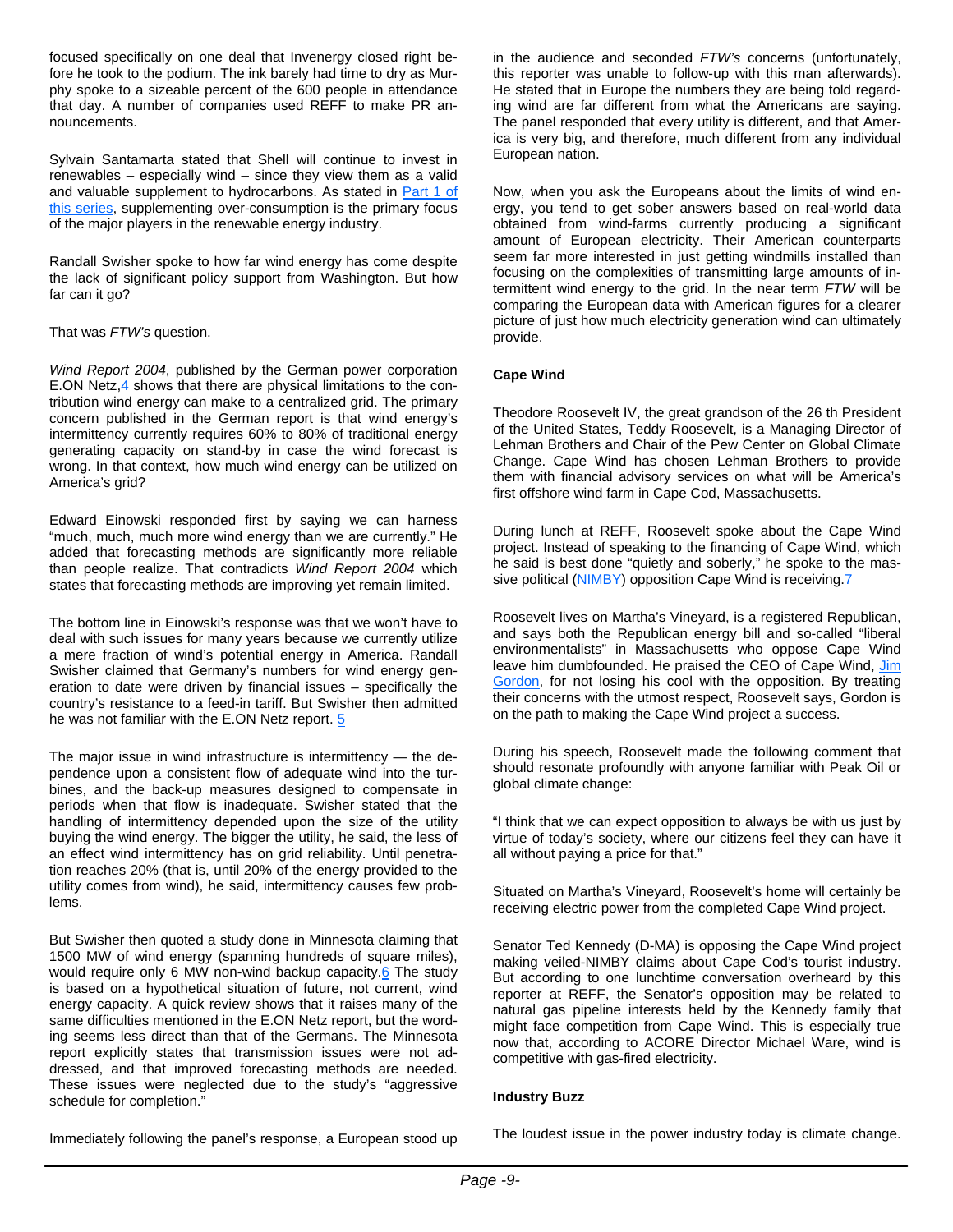focused specifically on one deal that Invenergy closed right before he took to the podium. The ink barely had time to dry as Murphy spoke to a sizeable percent of the 600 people in attendance that day. A number of companies used REFF to make PR announcements.

Sylvain Santamarta stated that Shell will continue to invest in renewables – especially wind – since they view them as a valid and valuable supplement to hydrocarbons. As stated in Part 1 of this series, supplementing over-consumption is the primary focus of the major players in the renewable energy industry.

Randall Swisher spoke to how far wind energy has come despite the lack of significant policy support from Washington. But how far can it go?

That was *FTW's* question.

*Wind Report 2004*, published by the German power corporation E.ON Netz,4 shows that there are physical limitations to the contribution wind energy can make to a centralized grid. The primary concern published in the German report is that wind energy's intermittency currently requires 60% to 80% of traditional energy generating capacity on stand-by in case the wind forecast is wrong. In that context, how much wind energy can be utilized on America's grid?

Edward Einowski responded first by saying we can harness "much, much, much more wind energy than we are currently." He added that forecasting methods are significantly more reliable than people realize. That contradicts *Wind Report 2004* which states that forecasting methods are improving yet remain limited.

The bottom line in Einowski's response was that we won't have to deal with such issues for many years because we currently utilize a mere fraction of wind's potential energy in America. Randall Swisher claimed that Germany's numbers for wind energy generation to date were driven by financial issues – specifically the country's resistance to a feed-in tariff. But Swisher then admitted he was not familiar with the E.ON Netz report. 5

The major issue in wind infrastructure is intermittency — the dependence upon a consistent flow of adequate wind into the turbines, and the back-up measures designed to compensate in periods when that flow is inadequate. Swisher stated that the handling of intermittency depended upon the size of the utility buying the wind energy. The bigger the utility, he said, the less of an effect wind intermittency has on grid reliability. Until penetration reaches 20% (that is, until 20% of the energy provided to the utility comes from wind), he said, intermittency causes few problems.

But Swisher then quoted a study done in Minnesota claiming that 1500 MW of wind energy (spanning hundreds of square miles), would require only 6 MW non-wind backup capacity.<sup>6</sup> The study is based on a hypothetical situation of future, not current, wind energy capacity. A quick review shows that it raises many of the same difficulties mentioned in the E.ON Netz report, but the wording seems less direct than that of the Germans. The Minnesota report explicitly states that transmission issues were not addressed, and that improved forecasting methods are needed. These issues were neglected due to the study's "aggressive schedule for completion."

in the audience and seconded *FTW's* concerns (unfortunately, this reporter was unable to follow-up with this man afterwards). He stated that in Europe the numbers they are being told regarding wind are far different from what the Americans are saying. The panel responded that every utility is different, and that America is very big, and therefore, much different from any individual European nation.

Now, when you ask the Europeans about the limits of wind energy, you tend to get sober answers based on real-world data obtained from wind-farms currently producing a significant amount of European electricity. Their American counterparts seem far more interested in just getting windmills installed than focusing on the complexities of transmitting large amounts of intermittent wind energy to the grid. In the near term *FTW* will be comparing the European data with American figures for a clearer picture of just how much electricity generation wind can ultimately provide.

#### **Cape Wind**

Theodore Roosevelt IV, the great grandson of the 26 th President of the United States, Teddy Roosevelt, is a Managing Director of Lehman Brothers and Chair of the Pew Center on Global Climate Change. Cape Wind has chosen Lehman Brothers to provide them with financial advisory services on what will be America's first offshore wind farm in Cape Cod, Massachusetts.

During lunch at REFF, Roosevelt spoke about the Cape Wind project. Instead of speaking to the financing of Cape Wind, which he said is best done "quietly and soberly," he spoke to the massive political (NIMBY) opposition Cape Wind is receiving.7

Roosevelt lives on Martha's Vineyard, is a registered Republican, and says both the Republican energy bill and so-called "liberal environmentalists" in Massachusetts who oppose Cape Wind leave him dumbfounded. He praised the CEO of Cape Wind, Jim Gordon, for not losing his cool with the opposition. By treating their concerns with the utmost respect, Roosevelt says, Gordon is on the path to making the Cape Wind project a success.

During his speech, Roosevelt made the following comment that should resonate profoundly with anyone familiar with Peak Oil or global climate change:

"I think that we can expect opposition to always be with us just by virtue of today's society, where our citizens feel they can have it all without paying a price for that."

Situated on Martha's Vineyard, Roosevelt's home will certainly be receiving electric power from the completed Cape Wind project.

Senator Ted Kennedy (D-MA) is opposing the Cape Wind project making veiled-NIMBY claims about Cape Cod's tourist industry. But according to one lunchtime conversation overheard by this reporter at REFF, the Senator's opposition may be related to natural gas pipeline interests held by the Kennedy family that might face competition from Cape Wind. This is especially true now that, according to ACORE Director Michael Ware, wind is competitive with gas-fired electricity.

#### **Industry Buzz**

Immediately following the panel's response, a European stood up

The loudest issue in the power industry today is climate change.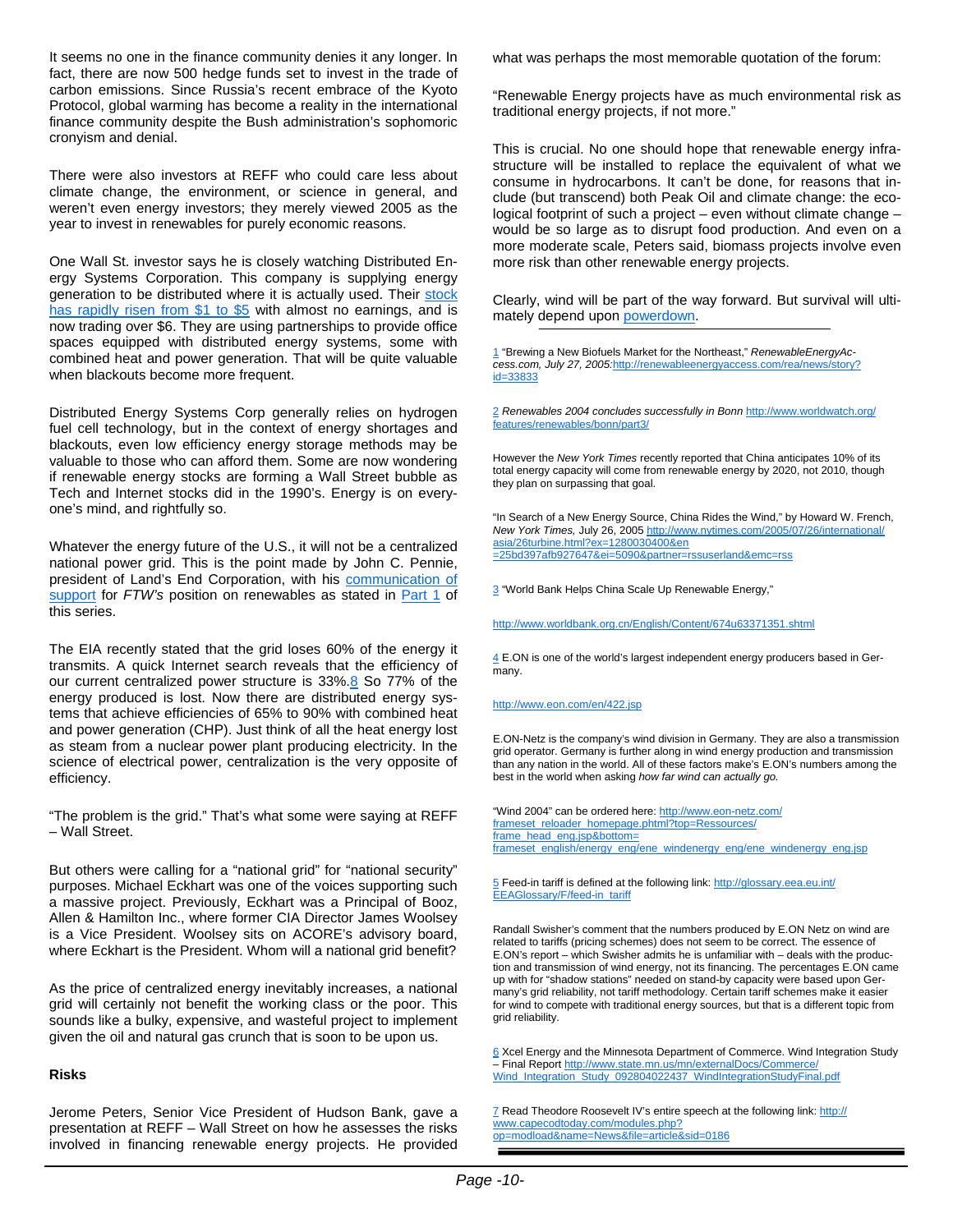It seems no one in the finance community denies it any longer. In fact, there are now 500 hedge funds set to invest in the trade of carbon emissions. Since Russia's recent embrace of the Kyoto Protocol, global warming has become a reality in the international finance community despite the Bush administration's sophomoric cronyism and denial.

There were also investors at REFF who could care less about climate change, the environment, or science in general, and weren't even energy investors; they merely viewed 2005 as the year to invest in renewables for purely economic reasons.

One Wall St. investor says he is closely watching Distributed Energy Systems Corporation. This company is supplying energy generation to be distributed where it is actually used. Their stock has rapidly risen from \$1 to \$5 with almost no earnings, and is now trading over \$6. They are using partnerships to provide office spaces equipped with distributed energy systems, some with combined heat and power generation. That will be quite valuable when blackouts become more frequent.

Distributed Energy Systems Corp generally relies on hydrogen fuel cell technology, but in the context of energy shortages and blackouts, even low efficiency energy storage methods may be valuable to those who can afford them. Some are now wondering if renewable energy stocks are forming a Wall Street bubble as Tech and Internet stocks did in the 1990's. Energy is on everyone's mind, and rightfully so.

Whatever the energy future of the U.S., it will not be a centralized national power grid. This is the point made by John C. Pennie, president of Land's End Corporation, with his communication of support for *FTW's* position on renewables as stated in Part 1 of this series.

The EIA recently stated that the grid loses 60% of the energy it transmits. A quick Internet search reveals that the efficiency of our current centralized power structure is 33%.8 So 77% of the energy produced is lost. Now there are distributed energy systems that achieve efficiencies of 65% to 90% with combined heat and power generation (CHP). Just think of all the heat energy lost as steam from a nuclear power plant producing electricity. In the science of electrical power, centralization is the very opposite of efficiency.

"The problem is the grid." That's what some were saying at REFF – Wall Street.

But others were calling for a "national grid" for "national security" purposes. Michael Eckhart was one of the voices supporting such a massive project. Previously, Eckhart was a Principal of Booz, Allen & Hamilton Inc., where former CIA Director James Woolsey is a Vice President. Woolsey sits on ACORE's advisory board, where Eckhart is the President. Whom will a national grid benefit?

As the price of centralized energy inevitably increases, a national grid will certainly not benefit the working class or the poor. This sounds like a bulky, expensive, and wasteful project to implement given the oil and natural gas crunch that is soon to be upon us.

#### **Risks**

Jerome Peters, Senior Vice President of Hudson Bank, gave a presentation at REFF – Wall Street on how he assesses the risks involved in financing renewable energy projects. He provided what was perhaps the most memorable quotation of the forum:

"Renewable Energy projects have as much environmental risk as traditional energy projects, if not more."

This is crucial. No one should hope that renewable energy infrastructure will be installed to replace the equivalent of what we consume in hydrocarbons. It can't be done, for reasons that include (but transcend) both Peak Oil and climate change: the ecological footprint of such a project – even without climate change – would be so large as to disrupt food production. And even on a more moderate scale, Peters said, biomass projects involve even more risk than other renewable energy projects.

Clearly, wind will be part of the way forward. But survival will ultimately depend upon powerdown.

1 "Brewing a New Biofuels Market for the Northeast," *RenewableEnergyAccess.com, July 27, 2005:*http://renewableenergyaccess.com/rea/news/story? id=33833

2 *Renewables 2004 concludes successfully in Bonn* http://www.worldwatch.org/ features/renewables/bonn/part3/

However the *New York Times* recently reported that China anticipates 10% of its total energy capacity will come from renewable energy by 2020, not 2010, though they plan on surpassing that goal.

"In Search of a New Energy Source, China Rides the Wind," by Howard W. French, *New York Times,* July 26, 2005 http://www.nytimes.com/2005/07/26/international/ asia/26turbine.html?ex=1280030400&en =25bd397afb927647&ei=5090&partner=rssuserland&emc=rss

3 "World Bank Helps China Scale Up Renewable Energy,"

http://www.worldbank.org.cn/English/Content/674u63371351.shtml

4 E.ON is one of the world's largest independent energy producers based in Germany.

#### http://www.eon.com/en/422.jsp

E.ON-Netz is the company's wind division in Germany. They are also a transmission grid operator. Germany is further along in wind energy production and transmission than any nation in the world. All of these factors make's E.ON's numbers among the best in the world when asking *how far wind can actually go.*

"Wind 2004" can be ordered here: http://www.eon-netz.com/ frameset\_reloader\_homepage.phtml?top=Ressources/ frame\_head\_eng.jsp&bottom= frameset\_english/energy\_eng/ene\_windenergy\_eng/ene\_windenergy\_eng.jsp

5 Feed-in tariff is defined at the following link: http://glossary.eea.eu.int/ EEAGlossary/F/feed-in\_tariff

Randall Swisher's comment that the numbers produced by E.ON Netz on wind are related to tariffs (pricing schemes) does not seem to be correct. The essence of E.ON's report – which Swisher admits he is unfamiliar with – deals with the production and transmission of wind energy, not its financing. The percentages E.ON came up with for "shadow stations" needed on stand-by capacity were based upon Germany's grid reliability, not tariff methodology. Certain tariff schemes make it easier for wind to compete with traditional energy sources, but that is a different topic from grid reliability.

6 Xcel Energy and the Minnesota Department of Commerce. Wind Integration Study – Final Report http://www.state.mn.us/mn/externalDocs/Commerce Wind\_Integration\_Study\_092804022437\_WindIntegrationStudyFinal.pdf

7 Read Theodore Roosevelt IV's entire speech at the following link: http:// www.capecodtoday.com/modules.php? op=modload&name=News&file=article&sid=0186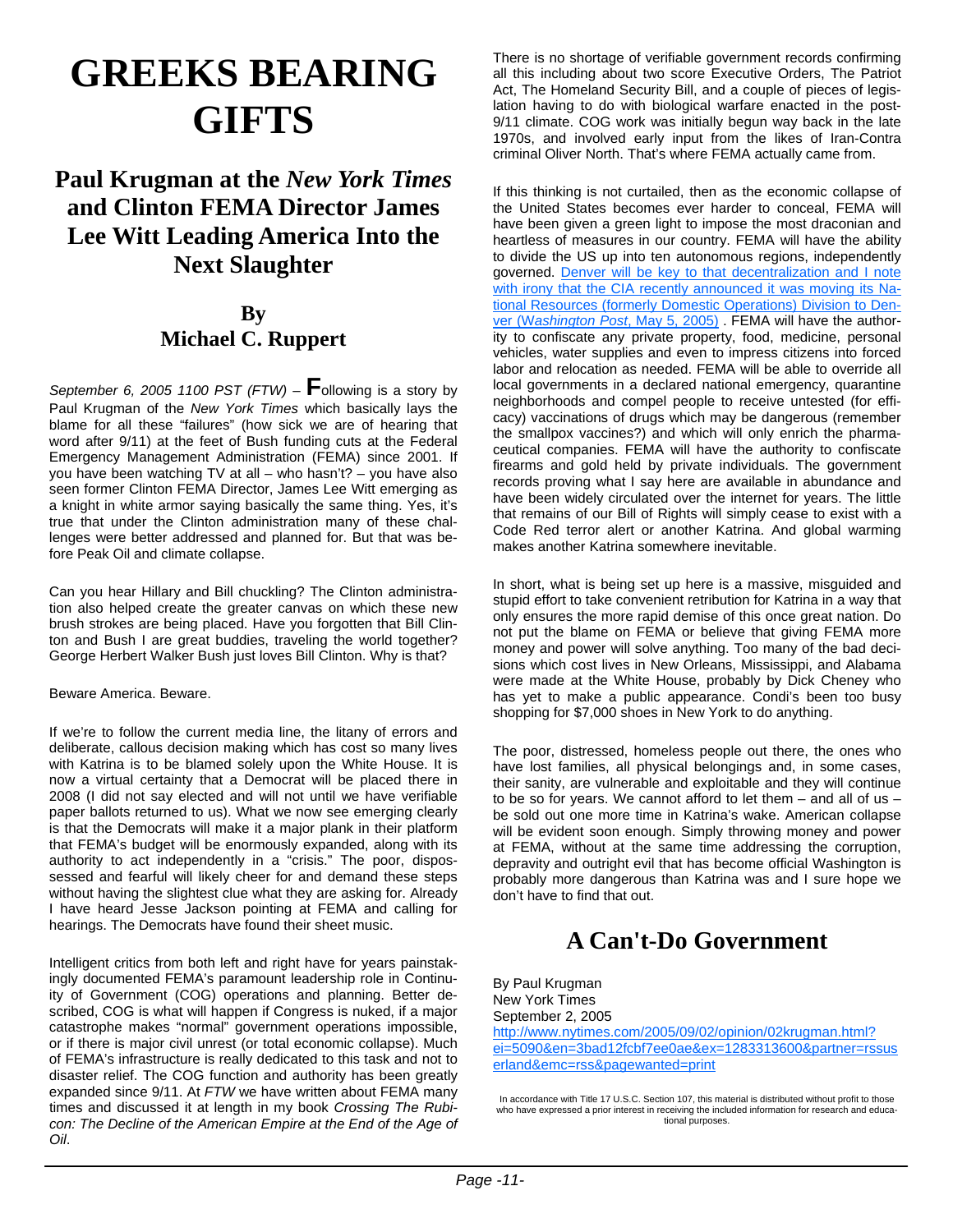## **GREEKS BEARING GIFTS**

## **Paul Krugman at the** *New York Times* **and Clinton FEMA Director James Lee Witt Leading America Into the Next Slaughter**

### **By Michael C. Ruppert**

*September 6, 2005 1100 PST (FTW)* – **F**ollowing is a story by Paul Krugman of the *New York Times* which basically lays the blame for all these "failures" (how sick we are of hearing that word after 9/11) at the feet of Bush funding cuts at the Federal Emergency Management Administration (FEMA) since 2001. If you have been watching TV at all – who hasn't? – you have also seen former Clinton FEMA Director, James Lee Witt emerging as a knight in white armor saying basically the same thing. Yes, it's true that under the Clinton administration many of these challenges were better addressed and planned for. But that was before Peak Oil and climate collapse.

Can you hear Hillary and Bill chuckling? The Clinton administration also helped create the greater canvas on which these new brush strokes are being placed. Have you forgotten that Bill Clinton and Bush I are great buddies, traveling the world together? George Herbert Walker Bush just loves Bill Clinton. Why is that?

Beware America. Beware.

If we're to follow the current media line, the litany of errors and deliberate, callous decision making which has cost so many lives with Katrina is to be blamed solely upon the White House. It is now a virtual certainty that a Democrat will be placed there in 2008 (I did not say elected and will not until we have verifiable paper ballots returned to us). What we now see emerging clearly is that the Democrats will make it a major plank in their platform that FEMA's budget will be enormously expanded, along with its authority to act independently in a "crisis." The poor, dispossessed and fearful will likely cheer for and demand these steps without having the slightest clue what they are asking for. Already I have heard Jesse Jackson pointing at FEMA and calling for hearings. The Democrats have found their sheet music.

Intelligent critics from both left and right have for years painstakingly documented FEMA's paramount leadership role in Continuity of Government (COG) operations and planning. Better described, COG is what will happen if Congress is nuked, if a major catastrophe makes "normal" government operations impossible, or if there is major civil unrest (or total economic collapse). Much of FEMA's infrastructure is really dedicated to this task and not to disaster relief. The COG function and authority has been greatly expanded since 9/11. At *FTW* we have written about FEMA many times and discussed it at length in my book *Crossing The Rubicon: The Decline of the American Empire at the End of the Age of Oil*.

There is no shortage of verifiable government records confirming all this including about two score Executive Orders, The Patriot Act, The Homeland Security Bill, and a couple of pieces of legislation having to do with biological warfare enacted in the post-9/11 climate. COG work was initially begun way back in the late 1970s, and involved early input from the likes of Iran-Contra criminal Oliver North. That's where FEMA actually came from.

If this thinking is not curtailed, then as the economic collapse of the United States becomes ever harder to conceal, FEMA will have been given a green light to impose the most draconian and heartless of measures in our country. FEMA will have the ability to divide the US up into ten autonomous regions, independently governed. Denver will be key to that decentralization and I note with irony that the CIA recently announced it was moving its National Resources (formerly Domestic Operations) Division to Denver (W*ashington Post*, May 5, 2005) . FEMA will have the authority to confiscate any private property, food, medicine, personal vehicles, water supplies and even to impress citizens into forced labor and relocation as needed. FEMA will be able to override all local governments in a declared national emergency, quarantine neighborhoods and compel people to receive untested (for efficacy) vaccinations of drugs which may be dangerous (remember the smallpox vaccines?) and which will only enrich the pharmaceutical companies. FEMA will have the authority to confiscate firearms and gold held by private individuals. The government records proving what I say here are available in abundance and have been widely circulated over the internet for years. The little that remains of our Bill of Rights will simply cease to exist with a Code Red terror alert or another Katrina. And global warming makes another Katrina somewhere inevitable.

In short, what is being set up here is a massive, misguided and stupid effort to take convenient retribution for Katrina in a way that only ensures the more rapid demise of this once great nation. Do not put the blame on FEMA or believe that giving FEMA more money and power will solve anything. Too many of the bad decisions which cost lives in New Orleans, Mississippi, and Alabama were made at the White House, probably by Dick Cheney who has yet to make a public appearance. Condi's been too busy shopping for \$7,000 shoes in New York to do anything.

The poor, distressed, homeless people out there, the ones who have lost families, all physical belongings and, in some cases, their sanity, are vulnerable and exploitable and they will continue to be so for years. We cannot afford to let them – and all of us – be sold out one more time in Katrina's wake. American collapse will be evident soon enough. Simply throwing money and power at FEMA, without at the same time addressing the corruption, depravity and outright evil that has become official Washington is probably more dangerous than Katrina was and I sure hope we don't have to find that out.

## **A Can't-Do Government**

By Paul Krugman New York Times September 2, 2005 http://www.nytimes.com/2005/09/02/opinion/02krugman.html? ei=5090&en=3bad12fcbf7ee0ae&ex=1283313600&partner=rssus erland&emc=rss&pagewanted=print

In accordance with Title 17 U.S.C. Section 107, this material is distributed without profit to those who have expressed a prior interest in receiving the included information for research and educational purposes.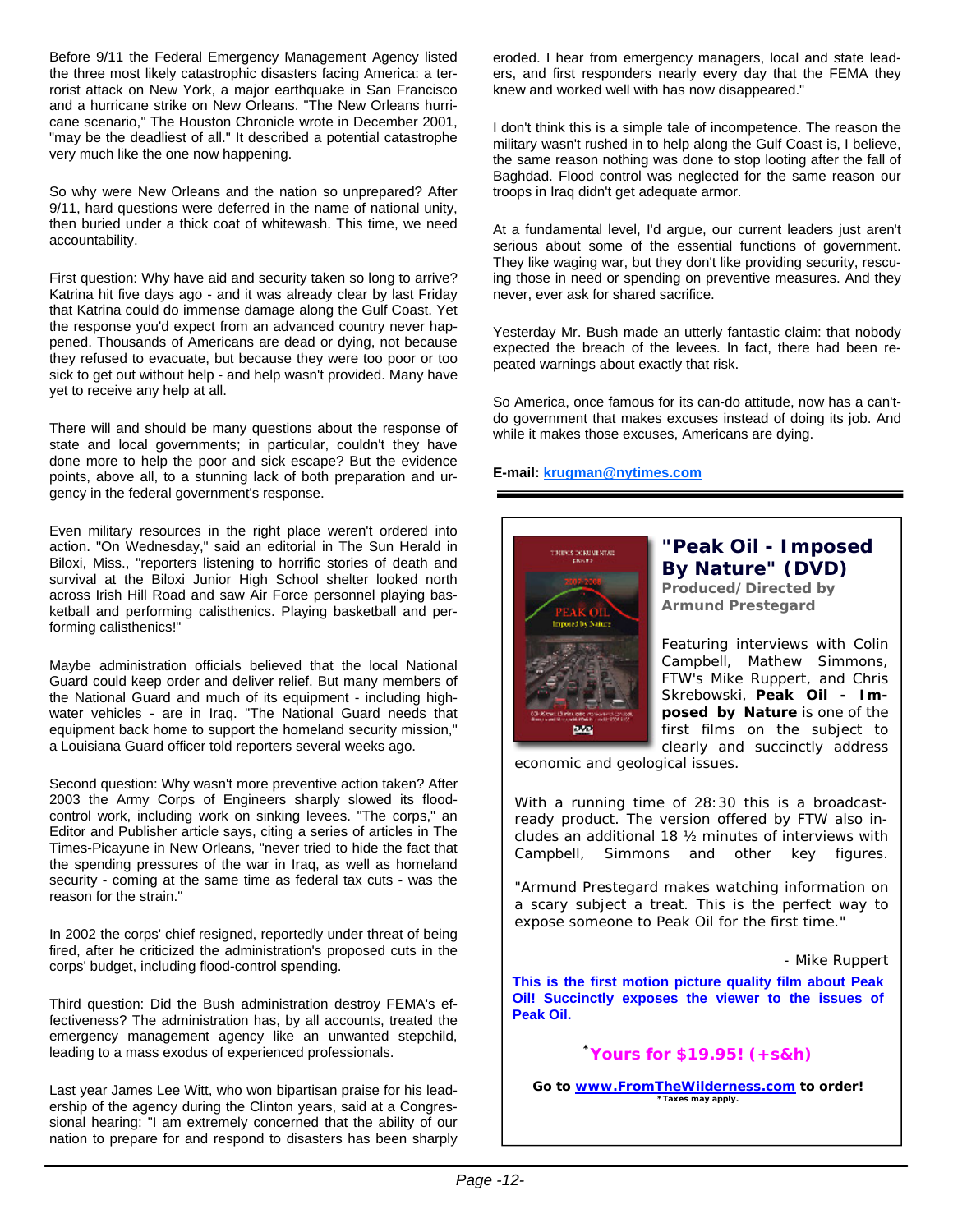Before 9/11 the Federal Emergency Management Agency listed the three most likely catastrophic disasters facing America: a terrorist attack on New York, a major earthquake in San Francisco and a hurricane strike on New Orleans. "The New Orleans hurricane scenario," The Houston Chronicle wrote in December 2001, "may be the deadliest of all." It described a potential catastrophe very much like the one now happening.

So why were New Orleans and the nation so unprepared? After 9/11, hard questions were deferred in the name of national unity, then buried under a thick coat of whitewash. This time, we need accountability.

First question: Why have aid and security taken so long to arrive? Katrina hit five days ago - and it was already clear by last Friday that Katrina could do immense damage along the Gulf Coast. Yet the response you'd expect from an advanced country never happened. Thousands of Americans are dead or dying, not because they refused to evacuate, but because they were too poor or too sick to get out without help - and help wasn't provided. Many have yet to receive any help at all.

There will and should be many questions about the response of state and local governments; in particular, couldn't they have done more to help the poor and sick escape? But the evidence points, above all, to a stunning lack of both preparation and urgency in the federal government's response.

Even military resources in the right place weren't ordered into action. "On Wednesday," said an editorial in The Sun Herald in Biloxi, Miss., "reporters listening to horrific stories of death and survival at the Biloxi Junior High School shelter looked north across Irish Hill Road and saw Air Force personnel playing basketball and performing calisthenics. Playing basketball and performing calisthenics!"

Maybe administration officials believed that the local National Guard could keep order and deliver relief. But many members of the National Guard and much of its equipment - including highwater vehicles - are in Iraq. "The National Guard needs that equipment back home to support the homeland security mission," a Louisiana Guard officer told reporters several weeks ago.

Second question: Why wasn't more preventive action taken? After 2003 the Army Corps of Engineers sharply slowed its floodcontrol work, including work on sinking levees. "The corps," an Editor and Publisher article says, citing a series of articles in The Times-Picayune in New Orleans, "never tried to hide the fact that the spending pressures of the war in Iraq, as well as homeland security - coming at the same time as federal tax cuts - was the reason for the strain."

In 2002 the corps' chief resigned, reportedly under threat of being fired, after he criticized the administration's proposed cuts in the corps' budget, including flood-control spending.

Third question: Did the Bush administration destroy FEMA's effectiveness? The administration has, by all accounts, treated the emergency management agency like an unwanted stepchild, leading to a mass exodus of experienced professionals.

Last year James Lee Witt, who won bipartisan praise for his leadership of the agency during the Clinton years, said at a Congressional hearing: "I am extremely concerned that the ability of our nation to prepare for and respond to disasters has been sharply eroded. I hear from emergency managers, local and state leaders, and first responders nearly every day that the FEMA they knew and worked well with has now disappeared."

I don't think this is a simple tale of incompetence. The reason the military wasn't rushed in to help along the Gulf Coast is, I believe, the same reason nothing was done to stop looting after the fall of Baghdad. Flood control was neglected for the same reason our troops in Iraq didn't get adequate armor.

At a fundamental level, I'd argue, our current leaders just aren't serious about some of the essential functions of government. They like waging war, but they don't like providing security, rescuing those in need or spending on preventive measures. And they never, ever ask for shared sacrifice.

Yesterday Mr. Bush made an utterly fantastic claim: that nobody expected the breach of the levees. In fact, there had been repeated warnings about exactly that risk.

So America, once famous for its can-do attitude, now has a can'tdo government that makes excuses instead of doing its job. And while it makes those excuses, Americans are dying.

**E-mail: krugman@nytimes.com**



**"Peak Oil - Imposed By Nature" (DVD) Produced/Directed by** 

**Armund Prestegard**

Featuring interviews with Colin Campbell, Mathew Simmons, *FTW's* Mike Ruppert, and Chris Skrebowski, *Peak Oil - Imposed by Nature* is one of the first films on the subject to clearly and succinctly address

economic and geological issues.

With a running time of 28:30 this is a broadcastready product. The version offered by *FTW* also includes an additional 18 ½ minutes of interviews with Campbell, Simmons and other key figures.

"Armund Prestegard makes watching information on a scary subject a treat. This is the perfect way to expose someone to Peak Oil for the first time."

- Mike Ruppert

**This is the first motion picture quality film about Peak Oil! Succinctly exposes the viewer to the issues of Peak Oil.**

**\*Yours for \$19.95! (+s&h)**

**Go to www.FromTheWilderness.com to order! \*Taxes may apply.**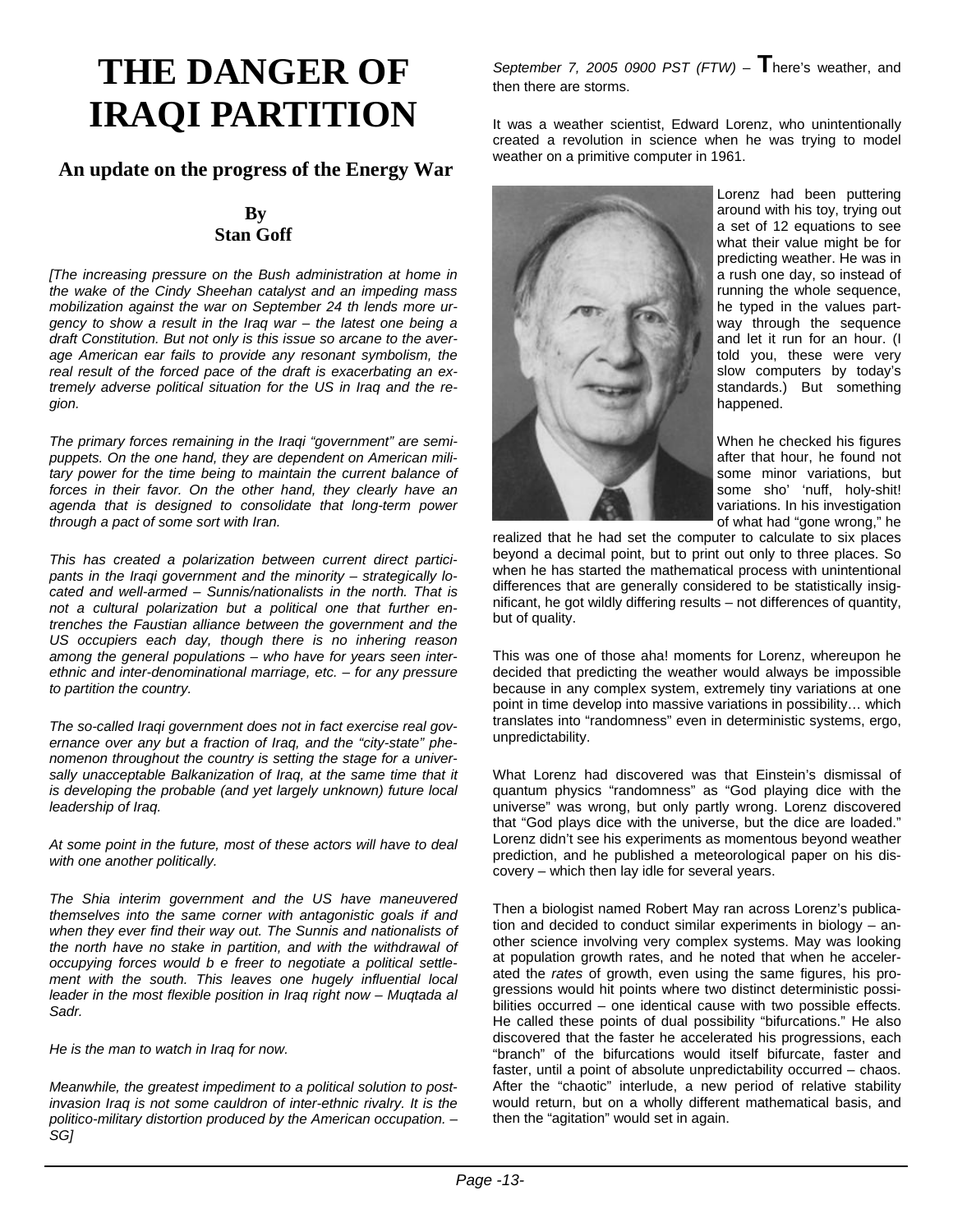## **THE DANGER OF IRAQI PARTITION**

#### **An update on the progress of the Energy War**

#### **By Stan Goff**

*[The increasing pressure on the Bush administration at home in the wake of the Cindy Sheehan catalyst and an impeding mass mobilization against the war on September 24 th lends more urgency to show a result in the Iraq war – the latest one being a draft Constitution. But not only is this issue so arcane to the average American ear fails to provide any resonant symbolism, the real result of the forced pace of the draft is exacerbating an extremely adverse political situation for the US in Iraq and the region.*

*The primary forces remaining in the Iraqi "government" are semipuppets. On the one hand, they are dependent on American military power for the time being to maintain the current balance of forces in their favor. On the other hand, they clearly have an agenda that is designed to consolidate that long-term power through a pact of some sort with Iran.*

*This has created a polarization between current direct participants in the Iraqi government and the minority – strategically located and well-armed – Sunnis/nationalists in the north. That is not a cultural polarization but a political one that further entrenches the Faustian alliance between the government and the US occupiers each day, though there is no inhering reason among the general populations – who have for years seen interethnic and inter-denominational marriage, etc. – for any pressure to partition the country.*

*The so-called Iraqi government does not in fact exercise real governance over any but a fraction of Iraq, and the "city-state" phenomenon throughout the country is setting the stage for a universally unacceptable Balkanization of Iraq, at the same time that it is developing the probable (and yet largely unknown) future local leadership of Iraq.*

*At some point in the future, most of these actors will have to deal with one another politically.*

*The Shia interim government and the US have maneuvered themselves into the same corner with antagonistic goals if and when they ever find their way out. The Sunnis and nationalists of the north have no stake in partition, and with the withdrawal of occupying forces would b e freer to negotiate a political settlement with the south. This leaves one hugely influential local leader in the most flexible position in Iraq right now – Muqtada al Sadr.*

*He is the man to watch in Iraq for now.*

*Meanwhile, the greatest impediment to a political solution to postinvasion Iraq is not some cauldron of inter-ethnic rivalry. It is the politico-military distortion produced by the American occupation. – SG]*

*September 7, 2005 0900 PST (FTW)* – **T**here's weather, and then there are storms.

It was a weather scientist, Edward Lorenz, who unintentionally created a revolution in science when he was trying to model weather on a primitive computer in 1961.



Lorenz had been puttering around with his toy, trying out a set of 12 equations to see what their value might be for predicting weather. He was in a rush one day, so instead of running the whole sequence, he typed in the values partway through the sequence and let it run for an hour. (I told you, these were very slow computers by today's standards.) But something happened.

When he checked his figures after that hour, he found not some minor variations, but some sho' 'nuff, holy-shit! variations. In his investigation of what had "gone wrong," he

realized that he had set the computer to calculate to six places beyond a decimal point, but to print out only to three places. So when he has started the mathematical process with unintentional differences that are generally considered to be statistically insignificant, he got wildly differing results – not differences of quantity, but of quality.

This was one of those aha! moments for Lorenz, whereupon he decided that predicting the weather would always be impossible because in any complex system, extremely tiny variations at one point in time develop into massive variations in possibility… which translates into "randomness" even in deterministic systems, ergo, unpredictability.

What Lorenz had discovered was that Einstein's dismissal of quantum physics "randomness" as "God playing dice with the universe" was wrong, but only partly wrong. Lorenz discovered that "God plays dice with the universe, but the dice are loaded." Lorenz didn't see his experiments as momentous beyond weather prediction, and he published a meteorological paper on his discovery – which then lay idle for several years.

Then a biologist named Robert May ran across Lorenz's publication and decided to conduct similar experiments in biology – another science involving very complex systems. May was looking at population growth rates, and he noted that when he accelerated the *rates* of growth, even using the same figures, his progressions would hit points where two distinct deterministic possibilities occurred – one identical cause with two possible effects. He called these points of dual possibility "bifurcations." He also discovered that the faster he accelerated his progressions, each "branch" of the bifurcations would itself bifurcate, faster and faster, until a point of absolute unpredictability occurred – chaos. After the "chaotic" interlude, a new period of relative stability would return, but on a wholly different mathematical basis, and then the "agitation" would set in again.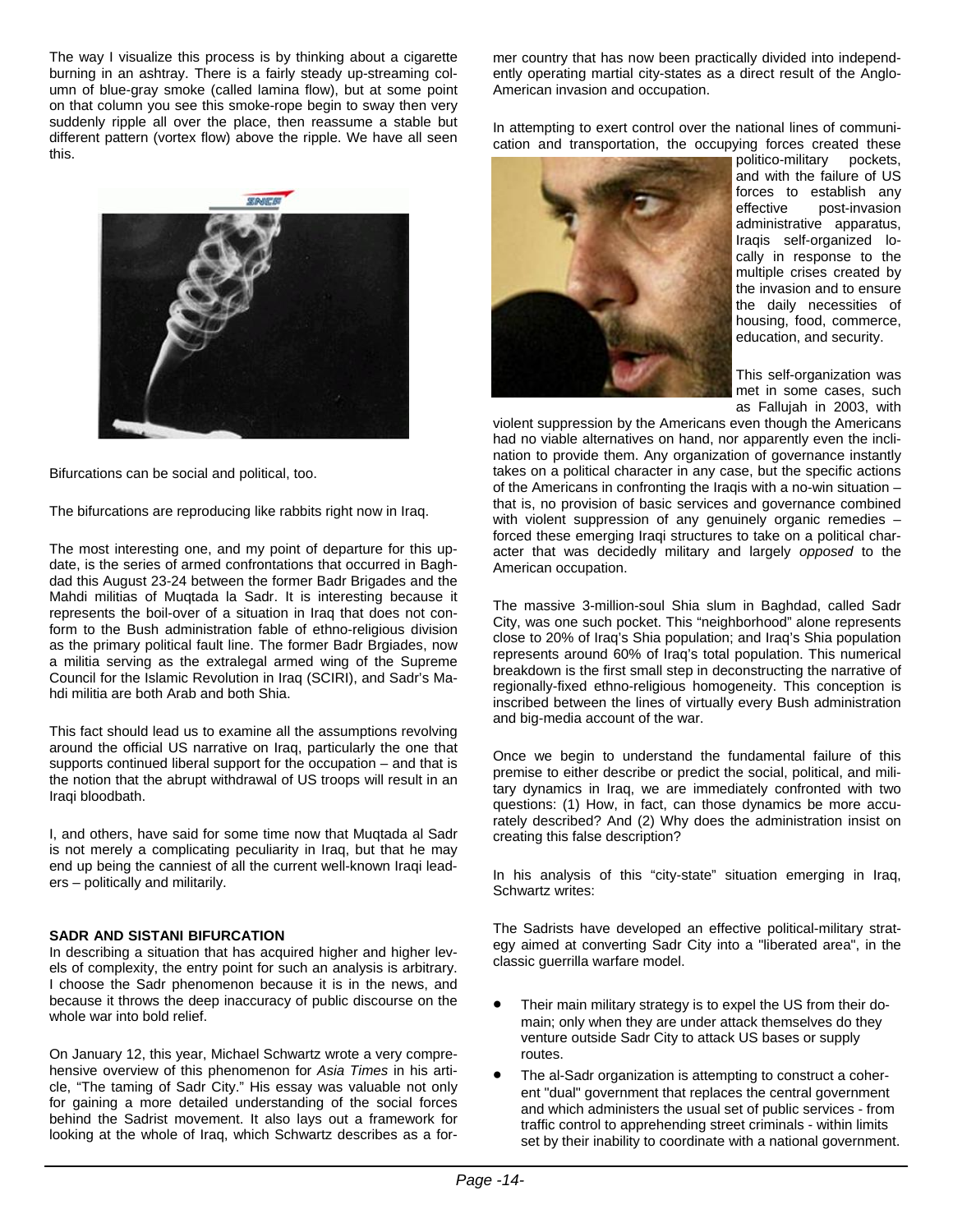The way I visualize this process is by thinking about a cigarette burning in an ashtray. There is a fairly steady up-streaming column of blue-gray smoke (called lamina flow), but at some point on that column you see this smoke-rope begin to sway then very suddenly ripple all over the place, then reassume a stable but different pattern (vortex flow) above the ripple. We have all seen this.



Bifurcations can be social and political, too.

The bifurcations are reproducing like rabbits right now in Iraq.

The most interesting one, and my point of departure for this update, is the series of armed confrontations that occurred in Baghdad this August 23-24 between the former Badr Brigades and the Mahdi militias of Muqtada la Sadr. It is interesting because it represents the boil-over of a situation in Iraq that does not conform to the Bush administration fable of ethno-religious division as the primary political fault line. The former Badr Brgiades, now a militia serving as the extralegal armed wing of the Supreme Council for the Islamic Revolution in Iraq (SCIRI), and Sadr's Mahdi militia are both Arab and both Shia.

This fact should lead us to examine all the assumptions revolving around the official US narrative on Iraq, particularly the one that supports continued liberal support for the occupation – and that is the notion that the abrupt withdrawal of US troops will result in an Iraqi bloodbath.

I, and others, have said for some time now that Muqtada al Sadr is not merely a complicating peculiarity in Iraq, but that he may end up being the canniest of all the current well-known Iraqi leaders – politically and militarily.

#### **SADR AND SISTANI BIFURCATION**

In describing a situation that has acquired higher and higher levels of complexity, the entry point for such an analysis is arbitrary. I choose the Sadr phenomenon because it is in the news, and because it throws the deep inaccuracy of public discourse on the whole war into bold relief.

On January 12, this year, Michael Schwartz wrote a very comprehensive overview of this phenomenon for *Asia Times* in his article, "The taming of Sadr City." His essay was valuable not only for gaining a more detailed understanding of the social forces behind the Sadrist movement. It also lays out a framework for looking at the whole of Iraq, which Schwartz describes as a former country that has now been practically divided into independently operating martial city-states as a direct result of the Anglo-American invasion and occupation.

In attempting to exert control over the national lines of communication and transportation, the occupying forces created these



politico-military pockets, and with the failure of US forces to establish any effective post-invasion administrative apparatus, Iraqis self-organized locally in response to the multiple crises created by the invasion and to ensure the daily necessities of housing, food, commerce, education, and security.

This self-organization was met in some cases, such as Fallujah in 2003, with

violent suppression by the Americans even though the Americans had no viable alternatives on hand, nor apparently even the inclination to provide them. Any organization of governance instantly takes on a political character in any case, but the specific actions of the Americans in confronting the Iraqis with a no-win situation – that is, no provision of basic services and governance combined with violent suppression of any genuinely organic remedies – forced these emerging Iraqi structures to take on a political character that was decidedly military and largely *opposed* to the American occupation.

The massive 3-million-soul Shia slum in Baghdad, called Sadr City, was one such pocket. This "neighborhood" alone represents close to 20% of Iraq's Shia population; and Iraq's Shia population represents around 60% of Iraq's total population. This numerical breakdown is the first small step in deconstructing the narrative of regionally-fixed ethno-religious homogeneity. This conception is inscribed between the lines of virtually every Bush administration and big-media account of the war.

Once we begin to understand the fundamental failure of this premise to either describe or predict the social, political, and military dynamics in Iraq, we are immediately confronted with two questions: (1) How, in fact, can those dynamics be more accurately described? And (2) Why does the administration insist on creating this false description?

In his analysis of this "city-state" situation emerging in Iraq, Schwartz writes:

The Sadrists have developed an effective political-military strategy aimed at converting Sadr City into a "liberated area", in the classic guerrilla warfare model.

- Their main military strategy is to expel the US from their domain; only when they are under attack themselves do they venture outside Sadr City to attack US bases or supply routes.
- The al-Sadr organization is attempting to construct a coherent "dual" government that replaces the central government and which administers the usual set of public services - from traffic control to apprehending street criminals - within limits set by their inability to coordinate with a national government.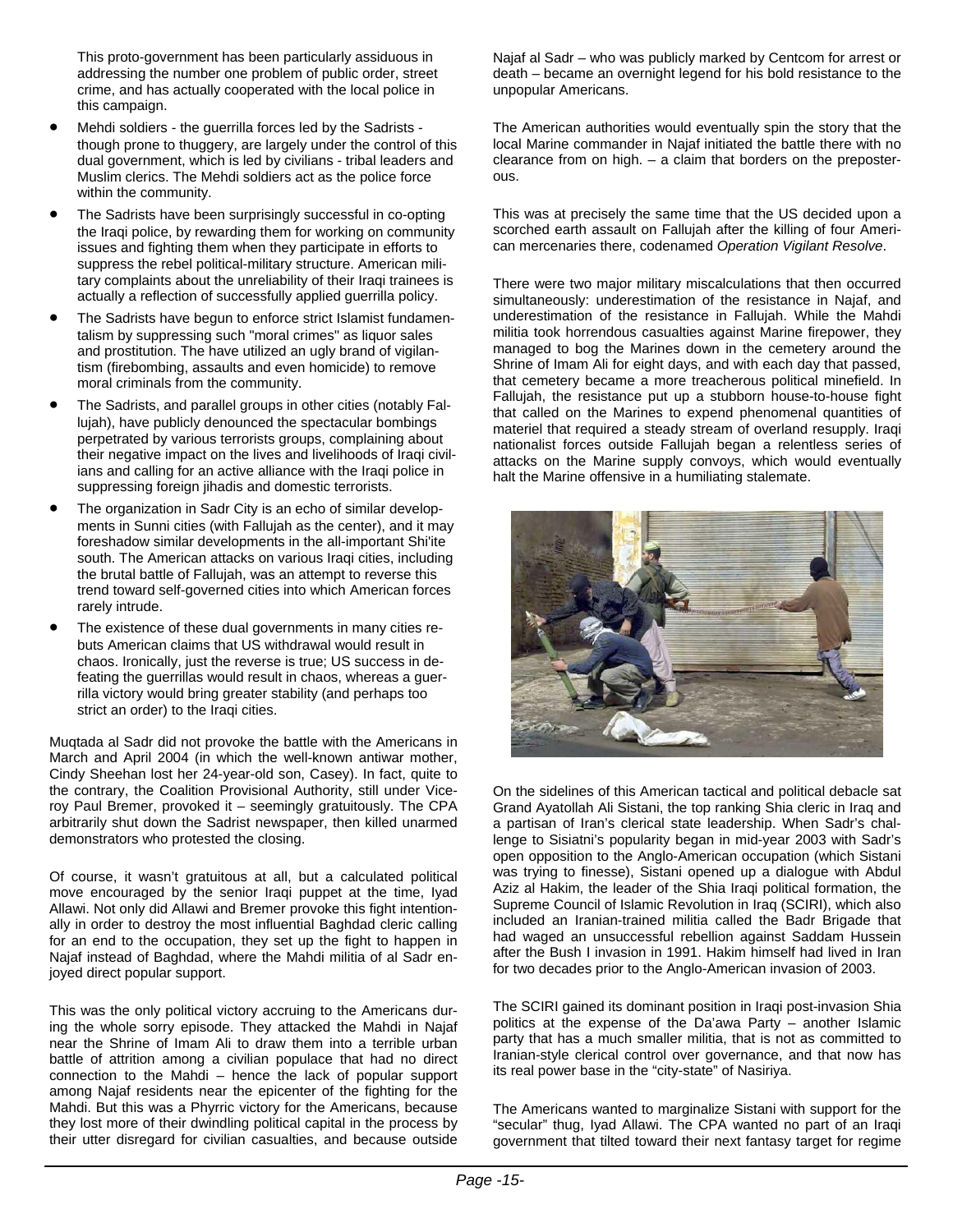This proto-government has been particularly assiduous in addressing the number one problem of public order, street crime, and has actually cooperated with the local police in this campaign.

- Mehdi soldiers the guerrilla forces led by the Sadrists though prone to thuggery, are largely under the control of this dual government, which is led by civilians - tribal leaders and Muslim clerics. The Mehdi soldiers act as the police force within the community.
- The Sadrists have been surprisingly successful in co-opting the Iraqi police, by rewarding them for working on community issues and fighting them when they participate in efforts to suppress the rebel political-military structure. American military complaints about the unreliability of their Iraqi trainees is actually a reflection of successfully applied guerrilla policy.
- The Sadrists have begun to enforce strict Islamist fundamentalism by suppressing such "moral crimes" as liquor sales and prostitution. The have utilized an ugly brand of vigilantism (firebombing, assaults and even homicide) to remove moral criminals from the community.
- The Sadrists, and parallel groups in other cities (notably Fallujah), have publicly denounced the spectacular bombings perpetrated by various terrorists groups, complaining about their negative impact on the lives and livelihoods of Iraqi civilians and calling for an active alliance with the Iraqi police in suppressing foreign jihadis and domestic terrorists.
- The organization in Sadr City is an echo of similar developments in Sunni cities (with Fallujah as the center), and it may foreshadow similar developments in the all-important Shi'ite south. The American attacks on various Iraqi cities, including the brutal battle of Fallujah, was an attempt to reverse this trend toward self-governed cities into which American forces rarely intrude.
- The existence of these dual governments in many cities rebuts American claims that US withdrawal would result in chaos. Ironically, just the reverse is true; US success in defeating the guerrillas would result in chaos, whereas a guerrilla victory would bring greater stability (and perhaps too strict an order) to the Iraqi cities.

Muqtada al Sadr did not provoke the battle with the Americans in March and April 2004 (in which the well-known antiwar mother, Cindy Sheehan lost her 24-year-old son, Casey). In fact, quite to the contrary, the Coalition Provisional Authority, still under Viceroy Paul Bremer, provoked it – seemingly gratuitously. The CPA arbitrarily shut down the Sadrist newspaper, then killed unarmed demonstrators who protested the closing.

Of course, it wasn't gratuitous at all, but a calculated political move encouraged by the senior Iraqi puppet at the time, Iyad Allawi. Not only did Allawi and Bremer provoke this fight intentionally in order to destroy the most influential Baghdad cleric calling for an end to the occupation, they set up the fight to happen in Najaf instead of Baghdad, where the Mahdi militia of al Sadr enjoyed direct popular support.

This was the only political victory accruing to the Americans during the whole sorry episode. They attacked the Mahdi in Najaf near the Shrine of Imam Ali to draw them into a terrible urban battle of attrition among a civilian populace that had no direct connection to the Mahdi – hence the lack of popular support among Najaf residents near the epicenter of the fighting for the Mahdi. But this was a Phyrric victory for the Americans, because they lost more of their dwindling political capital in the process by their utter disregard for civilian casualties, and because outside

Najaf al Sadr – who was publicly marked by Centcom for arrest or death – became an overnight legend for his bold resistance to the unpopular Americans.

The American authorities would eventually spin the story that the local Marine commander in Najaf initiated the battle there with no clearance from on high. – a claim that borders on the preposterous.

This was at precisely the same time that the US decided upon a scorched earth assault on Fallujah after the killing of four American mercenaries there, codenamed *Operation Vigilant Resolve*.

There were two major military miscalculations that then occurred simultaneously: underestimation of the resistance in Najaf, and underestimation of the resistance in Fallujah. While the Mahdi militia took horrendous casualties against Marine firepower, they managed to bog the Marines down in the cemetery around the Shrine of Imam Ali for eight days, and with each day that passed, that cemetery became a more treacherous political minefield. In Fallujah, the resistance put up a stubborn house-to-house fight that called on the Marines to expend phenomenal quantities of materiel that required a steady stream of overland resupply. Iraqi nationalist forces outside Fallujah began a relentless series of attacks on the Marine supply convoys, which would eventually halt the Marine offensive in a humiliating stalemate.



On the sidelines of this American tactical and political debacle sat Grand Ayatollah Ali Sistani, the top ranking Shia cleric in Iraq and a partisan of Iran's clerical state leadership. When Sadr's challenge to Sisiatni's popularity began in mid-year 2003 with Sadr's open opposition to the Anglo-American occupation (which Sistani was trying to finesse), Sistani opened up a dialogue with Abdul Aziz al Hakim, the leader of the Shia Iraqi political formation, the Supreme Council of Islamic Revolution in Iraq (SCIRI), which also included an Iranian-trained militia called the Badr Brigade that had waged an unsuccessful rebellion against Saddam Hussein after the Bush I invasion in 1991. Hakim himself had lived in Iran for two decades prior to the Anglo-American invasion of 2003.

The SCIRI gained its dominant position in Iraqi post-invasion Shia politics at the expense of the Da'awa Party – another Islamic party that has a much smaller militia, that is not as committed to Iranian-style clerical control over governance, and that now has its real power base in the "city-state" of Nasiriya.

The Americans wanted to marginalize Sistani with support for the "secular" thug, Iyad Allawi. The CPA wanted no part of an Iraqi government that tilted toward their next fantasy target for regime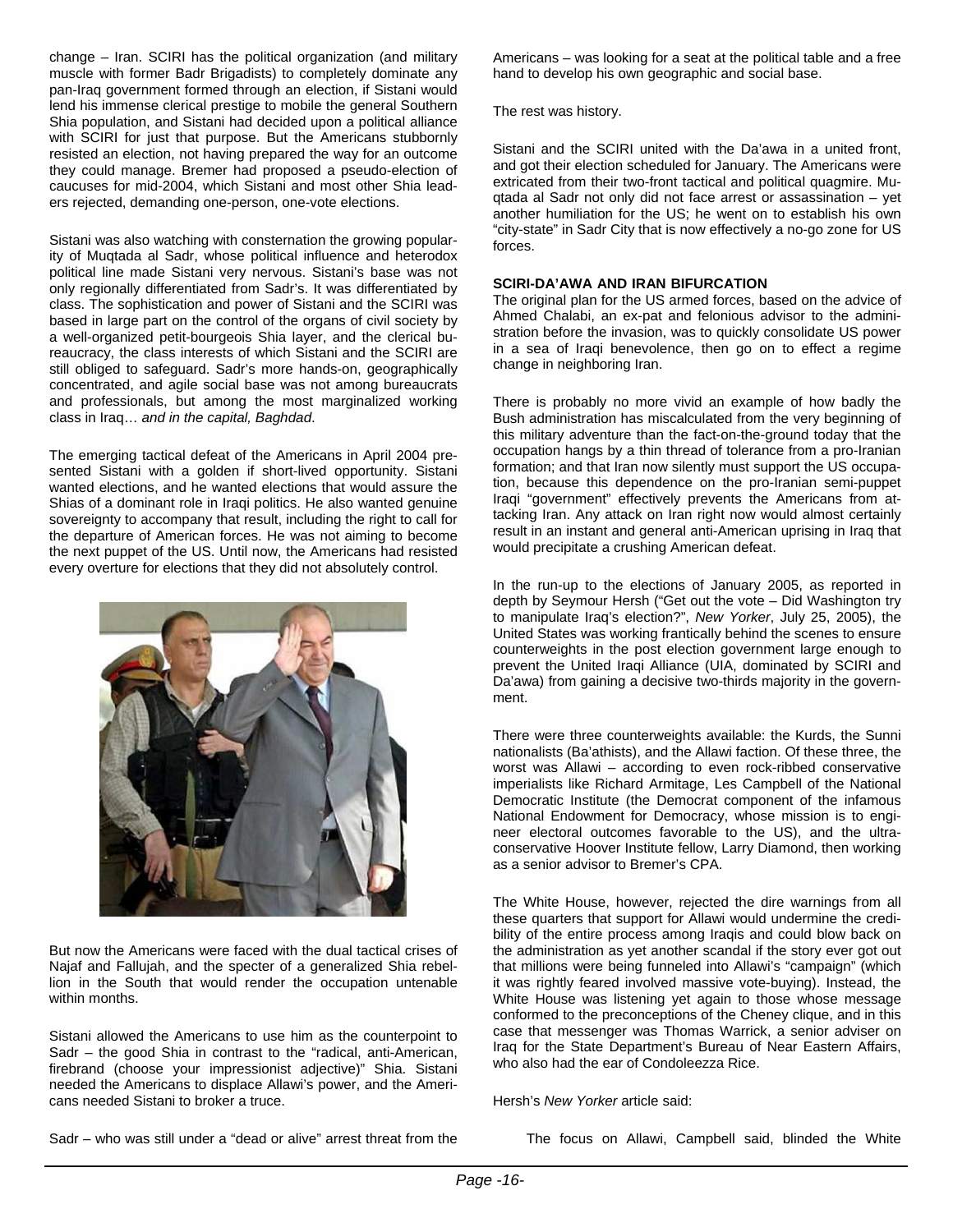change – Iran. SCIRI has the political organization (and military muscle with former Badr Brigadists) to completely dominate any pan-Iraq government formed through an election, if Sistani would lend his immense clerical prestige to mobile the general Southern Shia population, and Sistani had decided upon a political alliance with SCIRI for just that purpose. But the Americans stubbornly resisted an election, not having prepared the way for an outcome they could manage. Bremer had proposed a pseudo-election of caucuses for mid-2004, which Sistani and most other Shia leaders rejected, demanding one-person, one-vote elections.

Sistani was also watching with consternation the growing popularity of Muqtada al Sadr, whose political influence and heterodox political line made Sistani very nervous. Sistani's base was not only regionally differentiated from Sadr's. It was differentiated by class. The sophistication and power of Sistani and the SCIRI was based in large part on the control of the organs of civil society by a well-organized petit-bourgeois Shia layer, and the clerical bureaucracy, the class interests of which Sistani and the SCIRI are still obliged to safeguard. Sadr's more hands-on, geographically concentrated, and agile social base was not among bureaucrats and professionals, but among the most marginalized working class in Iraq… *and in the capital, Baghdad*.

The emerging tactical defeat of the Americans in April 2004 presented Sistani with a golden if short-lived opportunity. Sistani wanted elections, and he wanted elections that would assure the Shias of a dominant role in Iraqi politics. He also wanted genuine sovereignty to accompany that result, including the right to call for the departure of American forces. He was not aiming to become the next puppet of the US. Until now, the Americans had resisted every overture for elections that they did not absolutely control.



But now the Americans were faced with the dual tactical crises of Najaf and Fallujah, and the specter of a generalized Shia rebellion in the South that would render the occupation untenable within months.

Sistani allowed the Americans to use him as the counterpoint to Sadr – the good Shia in contrast to the "radical, anti-American, firebrand (choose your impressionist adjective)" Shia. Sistani needed the Americans to displace Allawi's power, and the Americans needed Sistani to broker a truce.

Americans – was looking for a seat at the political table and a free hand to develop his own geographic and social base.

The rest was history.

Sistani and the SCIRI united with the Da'awa in a united front, and got their election scheduled for January. The Americans were extricated from their two-front tactical and political quagmire. Muqtada al Sadr not only did not face arrest or assassination – yet another humiliation for the US; he went on to establish his own "city-state" in Sadr City that is now effectively a no-go zone for US forces.

#### **SCIRI-DA'AWA AND IRAN BIFURCATION**

The original plan for the US armed forces, based on the advice of Ahmed Chalabi, an ex-pat and felonious advisor to the administration before the invasion, was to quickly consolidate US power in a sea of Iraqi benevolence, then go on to effect a regime change in neighboring Iran.

There is probably no more vivid an example of how badly the Bush administration has miscalculated from the very beginning of this military adventure than the fact-on-the-ground today that the occupation hangs by a thin thread of tolerance from a pro-Iranian formation; and that Iran now silently must support the US occupation, because this dependence on the pro-Iranian semi-puppet Iraqi "government" effectively prevents the Americans from attacking Iran. Any attack on Iran right now would almost certainly result in an instant and general anti-American uprising in Iraq that would precipitate a crushing American defeat.

In the run-up to the elections of January 2005, as reported in depth by Seymour Hersh ("Get out the vote – Did Washington try to manipulate Iraq's election?", *New Yorker*, July 25, 2005), the United States was working frantically behind the scenes to ensure counterweights in the post election government large enough to prevent the United Iraqi Alliance (UIA, dominated by SCIRI and Da'awa) from gaining a decisive two-thirds majority in the government.

There were three counterweights available: the Kurds, the Sunni nationalists (Ba'athists), and the Allawi faction. Of these three, the worst was Allawi – according to even rock-ribbed conservative imperialists like Richard Armitage, Les Campbell of the National Democratic Institute (the Democrat component of the infamous National Endowment for Democracy, whose mission is to engineer electoral outcomes favorable to the US), and the ultraconservative Hoover Institute fellow, Larry Diamond, then working as a senior advisor to Bremer's CPA.

The White House, however, rejected the dire warnings from all these quarters that support for Allawi would undermine the credibility of the entire process among Iraqis and could blow back on the administration as yet another scandal if the story ever got out that millions were being funneled into Allawi's "campaign" (which it was rightly feared involved massive vote-buying). Instead, the White House was listening yet again to those whose message conformed to the preconceptions of the Cheney clique, and in this case that messenger was Thomas Warrick, a senior adviser on Iraq for the State Department's Bureau of Near Eastern Affairs, who also had the ear of Condoleezza Rice.

#### Hersh's *New Yorker* article said:

Sadr – who was still under a "dead or alive" arrest threat from the

The focus on Allawi, Campbell said, blinded the White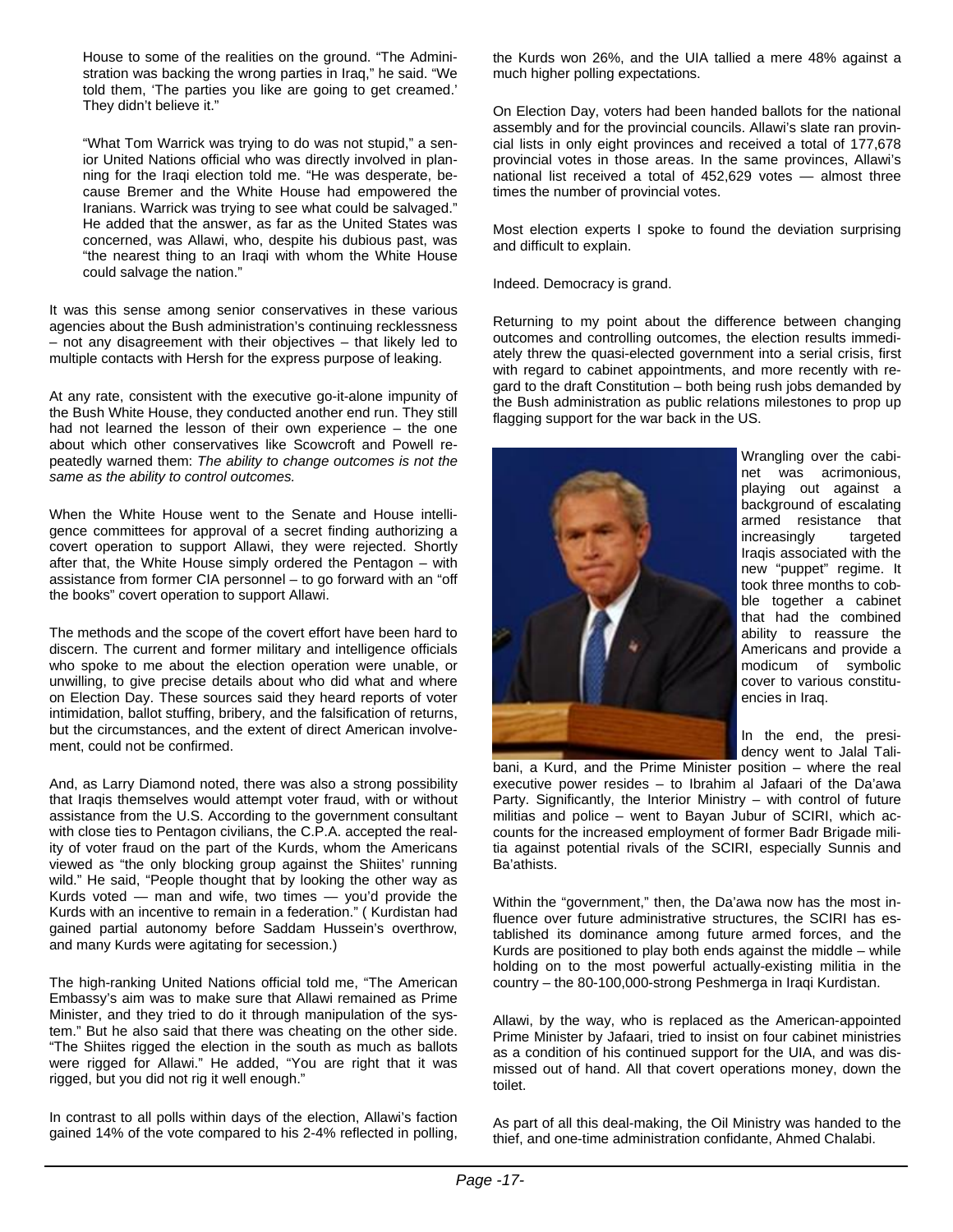House to some of the realities on the ground. "The Administration was backing the wrong parties in Iraq," he said. "We told them, 'The parties you like are going to get creamed.' They didn't believe it."

"What Tom Warrick was trying to do was not stupid," a senior United Nations official who was directly involved in planning for the Iraqi election told me. "He was desperate, because Bremer and the White House had empowered the Iranians. Warrick was trying to see what could be salvaged." He added that the answer, as far as the United States was concerned, was Allawi, who, despite his dubious past, was "the nearest thing to an Iraqi with whom the White House could salvage the nation."

It was this sense among senior conservatives in these various agencies about the Bush administration's continuing recklessness – not any disagreement with their objectives – that likely led to multiple contacts with Hersh for the express purpose of leaking.

At any rate, consistent with the executive go-it-alone impunity of the Bush White House, they conducted another end run. They still had not learned the lesson of their own experience – the one about which other conservatives like Scowcroft and Powell repeatedly warned them: *The ability to change outcomes is not the same as the ability to control outcomes.*

When the White House went to the Senate and House intelligence committees for approval of a secret finding authorizing a covert operation to support Allawi, they were rejected. Shortly after that, the White House simply ordered the Pentagon – with assistance from former CIA personnel – to go forward with an "off the books" covert operation to support Allawi.

The methods and the scope of the covert effort have been hard to discern. The current and former military and intelligence officials who spoke to me about the election operation were unable, or unwilling, to give precise details about who did what and where on Election Day. These sources said they heard reports of voter intimidation, ballot stuffing, bribery, and the falsification of returns, but the circumstances, and the extent of direct American involvement, could not be confirmed.

And, as Larry Diamond noted, there was also a strong possibility that Iraqis themselves would attempt voter fraud, with or without assistance from the U.S. According to the government consultant with close ties to Pentagon civilians, the C.P.A. accepted the reality of voter fraud on the part of the Kurds, whom the Americans viewed as "the only blocking group against the Shiites' running wild." He said, "People thought that by looking the other way as Kurds voted — man and wife, two times — you'd provide the Kurds with an incentive to remain in a federation." ( Kurdistan had gained partial autonomy before Saddam Hussein's overthrow, and many Kurds were agitating for secession.)

The high-ranking United Nations official told me, "The American Embassy's aim was to make sure that Allawi remained as Prime Minister, and they tried to do it through manipulation of the system." But he also said that there was cheating on the other side. "The Shiites rigged the election in the south as much as ballots were rigged for Allawi." He added, "You are right that it was rigged, but you did not rig it well enough."

In contrast to all polls within days of the election, Allawi's faction gained 14% of the vote compared to his 2-4% reflected in polling, the Kurds won 26%, and the UIA tallied a mere 48% against a much higher polling expectations.

On Election Day, voters had been handed ballots for the national assembly and for the provincial councils. Allawi's slate ran provincial lists in only eight provinces and received a total of 177,678 provincial votes in those areas. In the same provinces, Allawi's national list received a total of 452,629 votes — almost three times the number of provincial votes.

Most election experts I spoke to found the deviation surprising and difficult to explain.

Indeed. Democracy is grand.

Returning to my point about the difference between changing outcomes and controlling outcomes, the election results immediately threw the quasi-elected government into a serial crisis, first with regard to cabinet appointments, and more recently with regard to the draft Constitution – both being rush jobs demanded by the Bush administration as public relations milestones to prop up flagging support for the war back in the US.



Wrangling over the cabinet was acrimonious, playing out against a background of escalating armed resistance that increasingly targeted Iraqis associated with the new "puppet" regime. It took three months to cobble together a cabinet that had the combined ability to reassure the Americans and provide a modicum of symbolic cover to various constituencies in Iraq.

In the end, the presidency went to Jalal Tali-

bani, a Kurd, and the Prime Minister position – where the real executive power resides – to Ibrahim al Jafaari of the Da'awa Party. Significantly, the Interior Ministry – with control of future militias and police – went to Bayan Jubur of SCIRI, which accounts for the increased employment of former Badr Brigade militia against potential rivals of the SCIRI, especially Sunnis and Ba'athists.

Within the "government," then, the Da'awa now has the most influence over future administrative structures, the SCIRI has established its dominance among future armed forces, and the Kurds are positioned to play both ends against the middle – while holding on to the most powerful actually-existing militia in the country – the 80-100,000-strong Peshmerga in Iraqi Kurdistan.

Allawi, by the way, who is replaced as the American-appointed Prime Minister by Jafaari, tried to insist on four cabinet ministries as a condition of his continued support for the UIA, and was dismissed out of hand. All that covert operations money, down the toilet.

As part of all this deal-making, the Oil Ministry was handed to the thief, and one-time administration confidante, Ahmed Chalabi.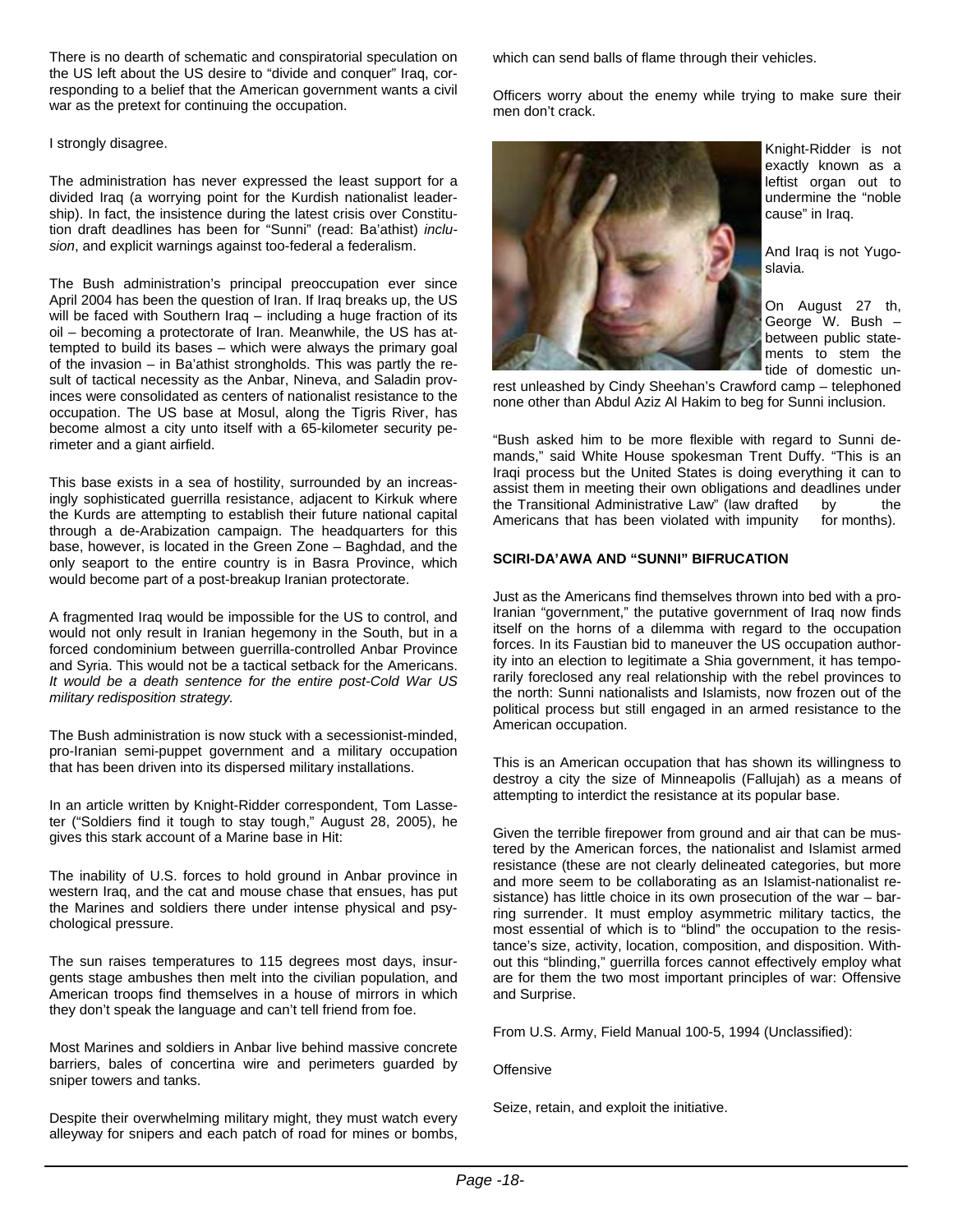There is no dearth of schematic and conspiratorial speculation on the US left about the US desire to "divide and conquer" Iraq, corresponding to a belief that the American government wants a civil war as the pretext for continuing the occupation.

#### I strongly disagree.

The administration has never expressed the least support for a divided Iraq (a worrying point for the Kurdish nationalist leadership). In fact, the insistence during the latest crisis over Constitution draft deadlines has been for "Sunni" (read: Ba'athist) *inclusion*, and explicit warnings against too-federal a federalism.

The Bush administration's principal preoccupation ever since April 2004 has been the question of Iran. If Iraq breaks up, the US will be faced with Southern Iraq – including a huge fraction of its oil – becoming a protectorate of Iran. Meanwhile, the US has attempted to build its bases – which were always the primary goal of the invasion – in Ba'athist strongholds. This was partly the result of tactical necessity as the Anbar, Nineva, and Saladin provinces were consolidated as centers of nationalist resistance to the occupation. The US base at Mosul, along the Tigris River, has become almost a city unto itself with a 65-kilometer security perimeter and a giant airfield.

This base exists in a sea of hostility, surrounded by an increasingly sophisticated guerrilla resistance, adjacent to Kirkuk where the Kurds are attempting to establish their future national capital through a de-Arabization campaign. The headquarters for this base, however, is located in the Green Zone – Baghdad, and the only seaport to the entire country is in Basra Province, which would become part of a post-breakup Iranian protectorate.

A fragmented Iraq would be impossible for the US to control, and would not only result in Iranian hegemony in the South, but in a forced condominium between guerrilla-controlled Anbar Province and Syria. This would not be a tactical setback for the Americans. *It would be a death sentence for the entire post-Cold War US military redisposition strategy.*

The Bush administration is now stuck with a secessionist-minded, pro-Iranian semi-puppet government and a military occupation that has been driven into its dispersed military installations.

In an article written by Knight-Ridder correspondent, Tom Lasseter ("Soldiers find it tough to stay tough," August 28, 2005), he gives this stark account of a Marine base in Hit:

The inability of U.S. forces to hold ground in Anbar province in western Iraq, and the cat and mouse chase that ensues, has put the Marines and soldiers there under intense physical and psychological pressure.

The sun raises temperatures to 115 degrees most days, insurgents stage ambushes then melt into the civilian population, and American troops find themselves in a house of mirrors in which they don't speak the language and can't tell friend from foe.

Most Marines and soldiers in Anbar live behind massive concrete barriers, bales of concertina wire and perimeters guarded by sniper towers and tanks.

Despite their overwhelming military might, they must watch every alleyway for snipers and each patch of road for mines or bombs, which can send balls of flame through their vehicles.

Officers worry about the enemy while trying to make sure their men don't crack.



Knight-Ridder is not exactly known as a leftist organ out to undermine the "noble cause" in Iraq.

And Iraq is not Yugoslavia.

On August 27 th, George W. Bush – between public statements to stem the tide of domestic un-

rest unleashed by Cindy Sheehan's Crawford camp – telephoned none other than Abdul Aziz Al Hakim to beg for Sunni inclusion.

"Bush asked him to be more flexible with regard to Sunni demands," said White House spokesman Trent Duffy. "This is an Iraqi process but the United States is doing everything it can to assist them in meeting their own obligations and deadlines under the Transitional Administrative Law" (law drafted by the Americans that has been violated with impunity for months).

#### **SCIRI-DA'AWA AND "SUNNI" BIFRUCATION**

Just as the Americans find themselves thrown into bed with a pro-Iranian "government," the putative government of Iraq now finds itself on the horns of a dilemma with regard to the occupation forces. In its Faustian bid to maneuver the US occupation authority into an election to legitimate a Shia government, it has temporarily foreclosed any real relationship with the rebel provinces to the north: Sunni nationalists and Islamists, now frozen out of the political process but still engaged in an armed resistance to the American occupation.

This is an American occupation that has shown its willingness to destroy a city the size of Minneapolis (Fallujah) as a means of attempting to interdict the resistance at its popular base.

Given the terrible firepower from ground and air that can be mustered by the American forces, the nationalist and Islamist armed resistance (these are not clearly delineated categories, but more and more seem to be collaborating as an Islamist-nationalist resistance) has little choice in its own prosecution of the war – barring surrender. It must employ asymmetric military tactics, the most essential of which is to "blind" the occupation to the resistance's size, activity, location, composition, and disposition. Without this "blinding," guerrilla forces cannot effectively employ what are for them the two most important principles of war: Offensive and Surprise.

From U.S. Army, Field Manual 100-5, 1994 (Unclassified):

**Offensive** 

Seize, retain, and exploit the initiative.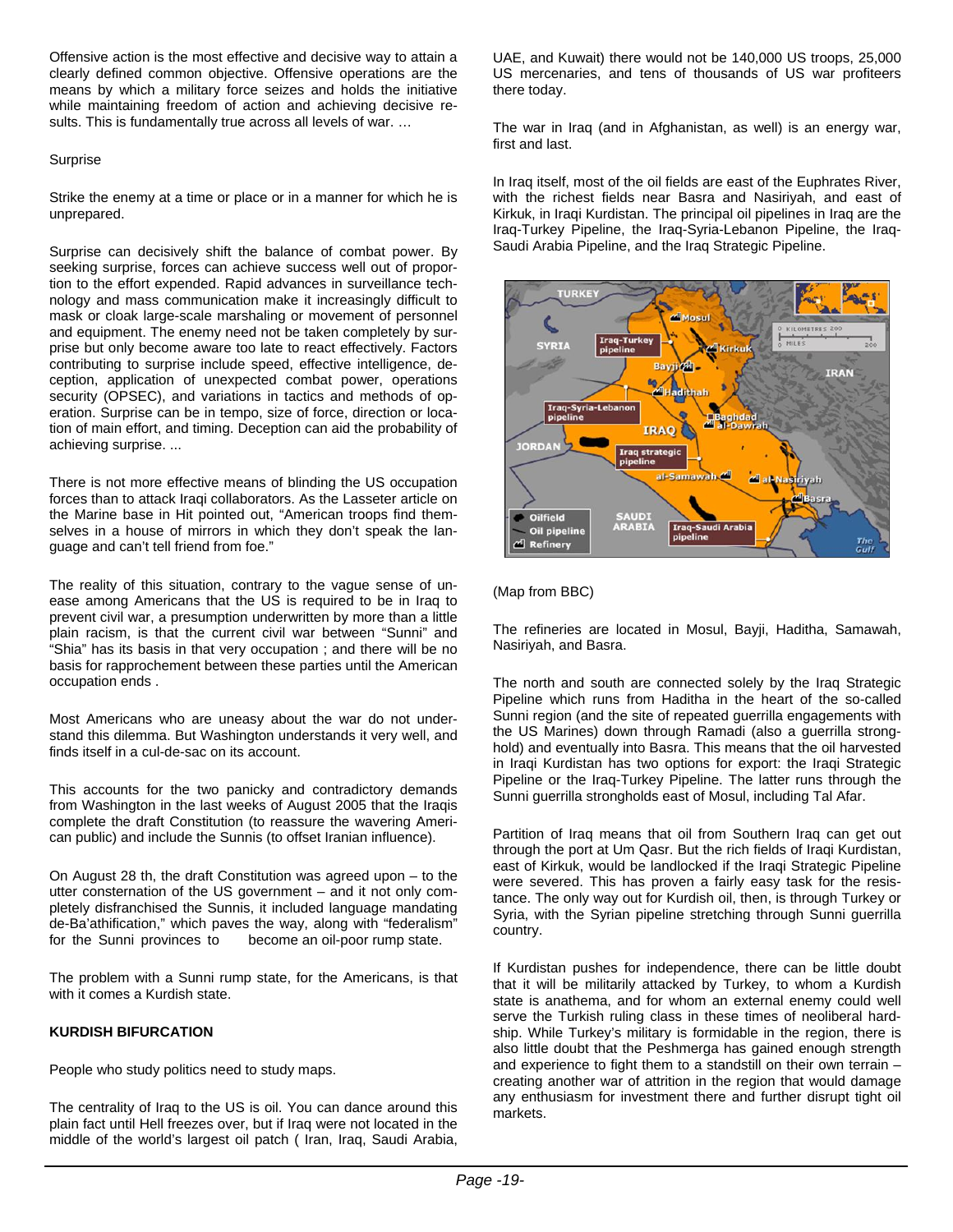Offensive action is the most effective and decisive way to attain a clearly defined common objective. Offensive operations are the means by which a military force seizes and holds the initiative while maintaining freedom of action and achieving decisive results. This is fundamentally true across all levels of war. …

#### Surprise

Strike the enemy at a time or place or in a manner for which he is unprepared.

Surprise can decisively shift the balance of combat power. By seeking surprise, forces can achieve success well out of proportion to the effort expended. Rapid advances in surveillance technology and mass communication make it increasingly difficult to mask or cloak large-scale marshaling or movement of personnel and equipment. The enemy need not be taken completely by surprise but only become aware too late to react effectively. Factors contributing to surprise include speed, effective intelligence, deception, application of unexpected combat power, operations security (OPSEC), and variations in tactics and methods of operation. Surprise can be in tempo, size of force, direction or location of main effort, and timing. Deception can aid the probability of achieving surprise. ...

There is not more effective means of blinding the US occupation forces than to attack Iraqi collaborators. As the Lasseter article on the Marine base in Hit pointed out, "American troops find themselves in a house of mirrors in which they don't speak the language and can't tell friend from foe."

The reality of this situation, contrary to the vague sense of unease among Americans that the US is required to be in Iraq to prevent civil war, a presumption underwritten by more than a little plain racism, is that the current civil war between "Sunni" and "Shia" has its basis in that very occupation ; and there will be no basis for rapprochement between these parties until the American occupation ends .

Most Americans who are uneasy about the war do not understand this dilemma. But Washington understands it very well, and finds itself in a cul-de-sac on its account.

This accounts for the two panicky and contradictory demands from Washington in the last weeks of August 2005 that the Iraqis complete the draft Constitution (to reassure the wavering American public) and include the Sunnis (to offset Iranian influence).

On August 28 th, the draft Constitution was agreed upon – to the utter consternation of the US government – and it not only completely disfranchised the Sunnis, it included language mandating de-Ba'athification," which paves the way, along with "federalism" for the Sunni provinces to become an oil-poor rump state.

The problem with a Sunni rump state, for the Americans, is that with it comes a Kurdish state.

#### **KURDISH BIFURCATION**

People who study politics need to study maps.

The centrality of Iraq to the US is oil. You can dance around this plain fact until Hell freezes over, but if Iraq were not located in the middle of the world's largest oil patch ( Iran, Iraq, Saudi Arabia, UAE, and Kuwait) there would not be 140,000 US troops, 25,000 US mercenaries, and tens of thousands of US war profiteers there today.

The war in Iraq (and in Afghanistan, as well) is an energy war, first and last.

In Iraq itself, most of the oil fields are east of the Euphrates River, with the richest fields near Basra and Nasiriyah, and east of Kirkuk, in Iraqi Kurdistan. The principal oil pipelines in Iraq are the Iraq-Turkey Pipeline, the Iraq-Syria-Lebanon Pipeline, the Iraq-Saudi Arabia Pipeline, and the Iraq Strategic Pipeline.



#### (Map from BBC)

The refineries are located in Mosul, Bayji, Haditha, Samawah, Nasiriyah, and Basra.

The north and south are connected solely by the Iraq Strategic Pipeline which runs from Haditha in the heart of the so-called Sunni region (and the site of repeated guerrilla engagements with the US Marines) down through Ramadi (also a guerrilla stronghold) and eventually into Basra. This means that the oil harvested in Iraqi Kurdistan has two options for export: the Iraqi Strategic Pipeline or the Iraq-Turkey Pipeline. The latter runs through the Sunni guerrilla strongholds east of Mosul, including Tal Afar.

Partition of Iraq means that oil from Southern Iraq can get out through the port at Um Qasr. But the rich fields of Iraqi Kurdistan, east of Kirkuk, would be landlocked if the Iraqi Strategic Pipeline were severed. This has proven a fairly easy task for the resistance. The only way out for Kurdish oil, then, is through Turkey or Syria, with the Syrian pipeline stretching through Sunni guerrilla country.

If Kurdistan pushes for independence, there can be little doubt that it will be militarily attacked by Turkey, to whom a Kurdish state is anathema, and for whom an external enemy could well serve the Turkish ruling class in these times of neoliberal hardship. While Turkey's military is formidable in the region, there is also little doubt that the Peshmerga has gained enough strength and experience to fight them to a standstill on their own terrain – creating another war of attrition in the region that would damage any enthusiasm for investment there and further disrupt tight oil markets.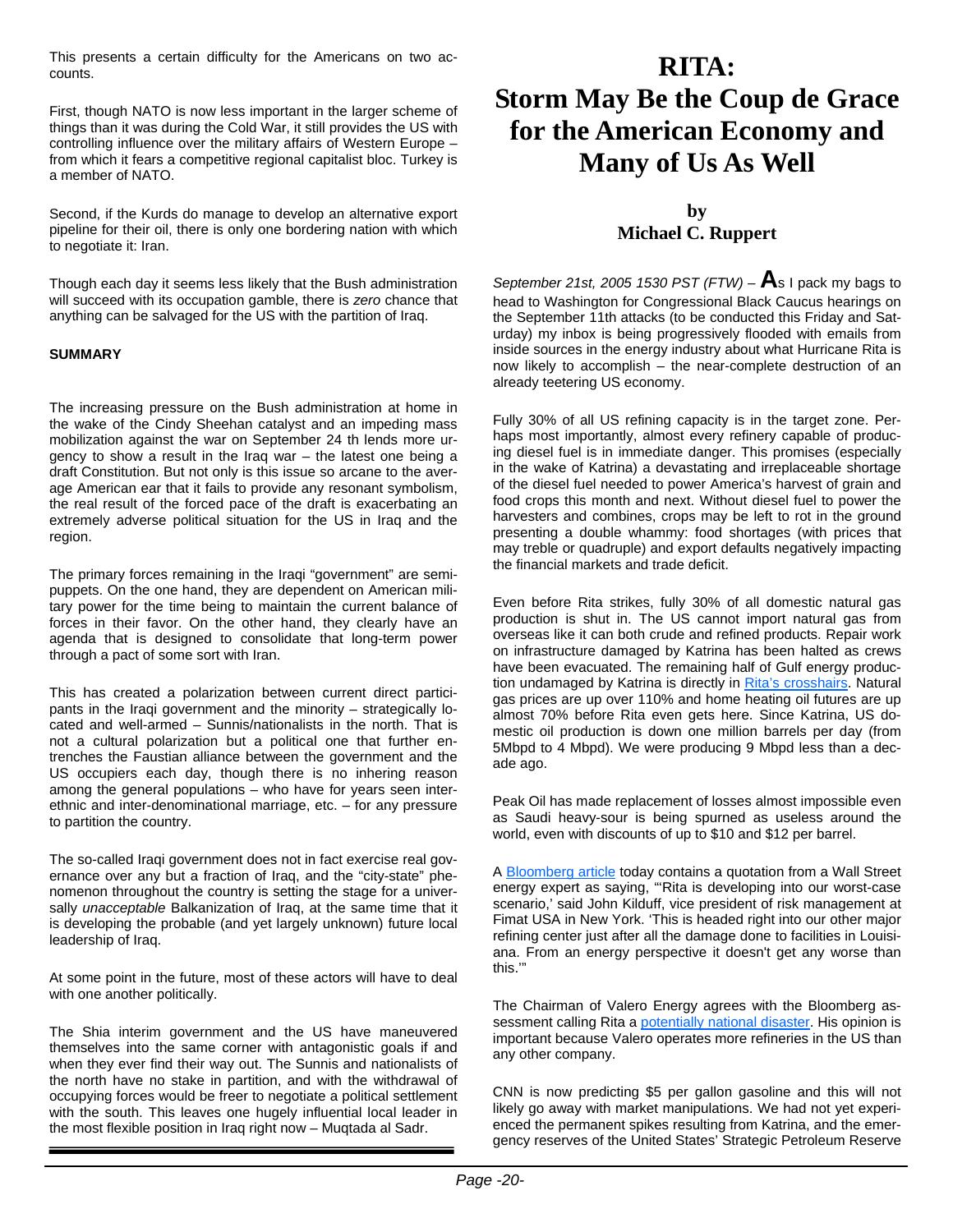This presents a certain difficulty for the Americans on two accounts.

First, though NATO is now less important in the larger scheme of things than it was during the Cold War, it still provides the US with controlling influence over the military affairs of Western Europe – from which it fears a competitive regional capitalist bloc. Turkey is a member of NATO.

Second, if the Kurds do manage to develop an alternative export pipeline for their oil, there is only one bordering nation with which to negotiate it: Iran.

Though each day it seems less likely that the Bush administration will succeed with its occupation gamble, there is *zero* chance that anything can be salvaged for the US with the partition of Iraq.

#### **SUMMARY**

The increasing pressure on the Bush administration at home in the wake of the Cindy Sheehan catalyst and an impeding mass mobilization against the war on September 24 th lends more urgency to show a result in the Iraq war – the latest one being a draft Constitution. But not only is this issue so arcane to the average American ear that it fails to provide any resonant symbolism, the real result of the forced pace of the draft is exacerbating an extremely adverse political situation for the US in Iraq and the region.

The primary forces remaining in the Iraqi "government" are semipuppets. On the one hand, they are dependent on American military power for the time being to maintain the current balance of forces in their favor. On the other hand, they clearly have an agenda that is designed to consolidate that long-term power through a pact of some sort with Iran.

This has created a polarization between current direct participants in the Iraqi government and the minority – strategically located and well-armed – Sunnis/nationalists in the north. That is not a cultural polarization but a political one that further entrenches the Faustian alliance between the government and the US occupiers each day, though there is no inhering reason among the general populations – who have for years seen interethnic and inter-denominational marriage, etc. – for any pressure to partition the country.

The so-called Iraqi government does not in fact exercise real governance over any but a fraction of Iraq, and the "city-state" phenomenon throughout the country is setting the stage for a universally *unacceptable* Balkanization of Iraq, at the same time that it is developing the probable (and yet largely unknown) future local leadership of Iraq.

At some point in the future, most of these actors will have to deal with one another politically.

The Shia interim government and the US have maneuvered themselves into the same corner with antagonistic goals if and when they ever find their way out. The Sunnis and nationalists of the north have no stake in partition, and with the withdrawal of occupying forces would be freer to negotiate a political settlement with the south. This leaves one hugely influential local leader in the most flexible position in Iraq right now – Muqtada al Sadr.

## **RITA: Storm May Be the Coup de Grace for the American Economy and Many of Us As Well**

#### **by Michael C. Ruppert**

*September 21st, 2005 1530 PST (FTW)* – **A**s I pack my bags to head to Washington for Congressional Black Caucus hearings on the September 11th attacks (to be conducted this Friday and Saturday) my inbox is being progressively flooded with emails from inside sources in the energy industry about what Hurricane Rita is now likely to accomplish – the near-complete destruction of an already teetering US economy.

Fully 30% of all US refining capacity is in the target zone. Perhaps most importantly, almost every refinery capable of producing diesel fuel is in immediate danger. This promises (especially in the wake of Katrina) a devastating and irreplaceable shortage of the diesel fuel needed to power America's harvest of grain and food crops this month and next. Without diesel fuel to power the harvesters and combines, crops may be left to rot in the ground presenting a double whammy: food shortages (with prices that may treble or quadruple) and export defaults negatively impacting the financial markets and trade deficit.

Even before Rita strikes, fully 30% of all domestic natural gas production is shut in. The US cannot import natural gas from overseas like it can both crude and refined products. Repair work on infrastructure damaged by Katrina has been halted as crews have been evacuated. The remaining half of Gulf energy production undamaged by Katrina is directly in Rita's crosshairs. Natural gas prices are up over 110% and home heating oil futures are up almost 70% before Rita even gets here. Since Katrina, US domestic oil production is down one million barrels per day (from 5Mbpd to 4 Mbpd). We were producing 9 Mbpd less than a decade ago.

Peak Oil has made replacement of losses almost impossible even as Saudi heavy-sour is being spurned as useless around the world, even with discounts of up to \$10 and \$12 per barrel.

A Bloomberg article today contains a quotation from a Wall Street energy expert as saying, "'Rita is developing into our worst-case scenario,' said John Kilduff, vice president of risk management at Fimat USA in New York. 'This is headed right into our other major refining center just after all the damage done to facilities in Louisiana. From an energy perspective it doesn't get any worse than this.'"

The Chairman of Valero Energy agrees with the Bloomberg assessment calling Rita a potentially national disaster. His opinion is important because Valero operates more refineries in the US than any other company.

CNN is now predicting \$5 per gallon gasoline and this will not likely go away with market manipulations. We had not yet experienced the permanent spikes resulting from Katrina, and the emergency reserves of the United States' Strategic Petroleum Reserve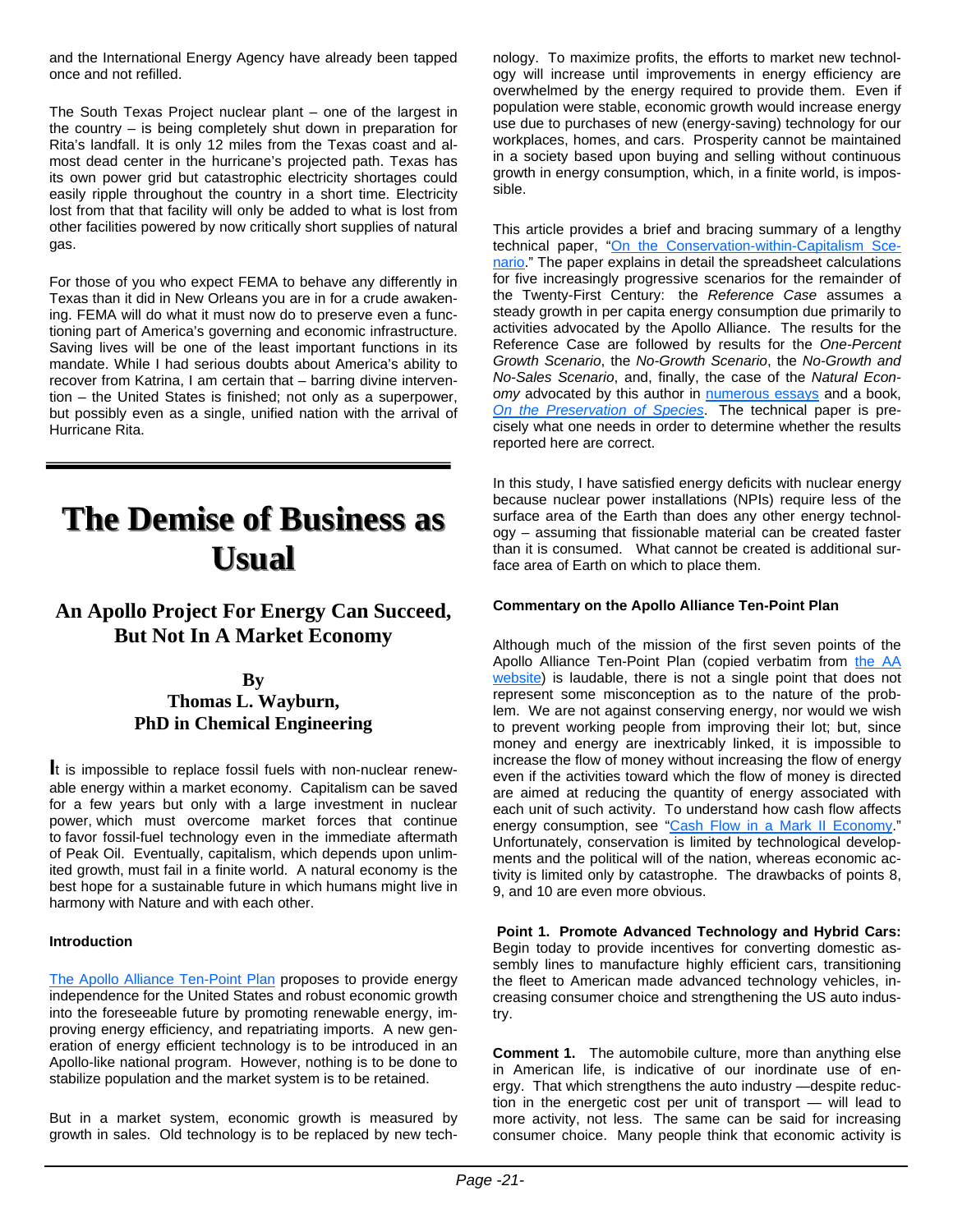and the International Energy Agency have already been tapped once and not refilled.

The South Texas Project nuclear plant – one of the largest in the country – is being completely shut down in preparation for Rita's landfall. It is only 12 miles from the Texas coast and almost dead center in the hurricane's projected path. Texas has its own power grid but catastrophic electricity shortages could easily ripple throughout the country in a short time. Electricity lost from that that facility will only be added to what is lost from other facilities powered by now critically short supplies of natural gas.

For those of you who expect FEMA to behave any differently in Texas than it did in New Orleans you are in for a crude awakening. FEMA will do what it must now do to preserve even a functioning part of America's governing and economic infrastructure. Saving lives will be one of the least important functions in its mandate. While I had serious doubts about America's ability to recover from Katrina, I am certain that – barring divine intervention – the United States is finished; not only as a superpower, but possibly even as a single, unified nation with the arrival of Hurricane Rita.

## **The Demise of Business as Usual**

### **An Apollo Project For Energy Can Succeed, But Not In A Market Economy**

#### **By Thomas L. Wayburn, PhD in Chemical Engineering**

**I**t is impossible to replace fossil fuels with non-nuclear renewable energy within a market economy. Capitalism can be saved for a few years but only with a large investment in nuclear power, which must overcome market forces that continue to favor fossil-fuel technology even in the immediate aftermath of Peak Oil. Eventually, capitalism, which depends upon unlimited growth, must fail in a finite world. A natural economy is the best hope for a sustainable future in which humans might live in harmony with Nature and with each other.

#### **Introduction**

The Apollo Alliance Ten-Point Plan proposes to provide energy independence for the United States and robust economic growth into the foreseeable future by promoting renewable energy, improving energy efficiency, and repatriating imports. A new generation of energy efficient technology is to be introduced in an Apollo-like national program. However, nothing is to be done to stabilize population and the market system is to be retained.

But in a market system, economic growth is measured by growth in sales. Old technology is to be replaced by new technology. To maximize profits, the efforts to market new technology will increase until improvements in energy efficiency are overwhelmed by the energy required to provide them. Even if population were stable, economic growth would increase energy use due to purchases of new (energy-saving) technology for our workplaces, homes, and cars. Prosperity cannot be maintained in a society based upon buying and selling without continuous growth in energy consumption, which, in a finite world, is impossible.

This article provides a brief and bracing summary of a lengthy technical paper, "On the Conservation-within-Capitalism Scenario." The paper explains in detail the spreadsheet calculations for five increasingly progressive scenarios for the remainder of the Twenty-First Century: the *Reference Case* assumes a steady growth in per capita energy consumption due primarily to activities advocated by the Apollo Alliance. The results for the Reference Case are followed by results for the *One-Percent Growth Scenario*, the *No-Growth Scenario*, the *No-Growth and No-Sales Scenario*, and, finally, the case of the *Natural Economy* advocated by this author in numerous essays and a book, *On the Preservation of Species*. The technical paper is precisely what one needs in order to determine whether the results reported here are correct.

In this study, I have satisfied energy deficits with nuclear energy because nuclear power installations (NPIs) require less of the surface area of the Earth than does any other energy technology – assuming that fissionable material can be created faster than it is consumed. What cannot be created is additional surface area of Earth on which to place them.

#### **Commentary on the Apollo Alliance Ten-Point Plan**

Although much of the mission of the first seven points of the Apollo Alliance Ten-Point Plan (copied verbatim from the AA website) is laudable, there is not a single point that does not represent some misconception as to the nature of the problem. We are not against conserving energy, nor would we wish to prevent working people from improving their lot; but, since money and energy are inextricably linked, it is impossible to increase the flow of money without increasing the flow of energy even if the activities toward which the flow of money is directed are aimed at reducing the quantity of energy associated with each unit of such activity. To understand how cash flow affects energy consumption, see "Cash Flow in a Mark II Economy." Unfortunately, conservation is limited by technological developments and the political will of the nation, whereas economic activity is limited only by catastrophe. The drawbacks of points 8, 9, and 10 are even more obvious.

 **Point 1. Promote Advanced Technology and Hybrid Cars:** Begin today to provide incentives for converting domestic assembly lines to manufacture highly efficient cars, transitioning the fleet to American made advanced technology vehicles, increasing consumer choice and strengthening the US auto industry.

**Comment 1.** The automobile culture, more than anything else in American life, is indicative of our inordinate use of energy. That which strengthens the auto industry —despite reduction in the energetic cost per unit of transport — will lead to more activity, not less. The same can be said for increasing consumer choice. Many people think that economic activity is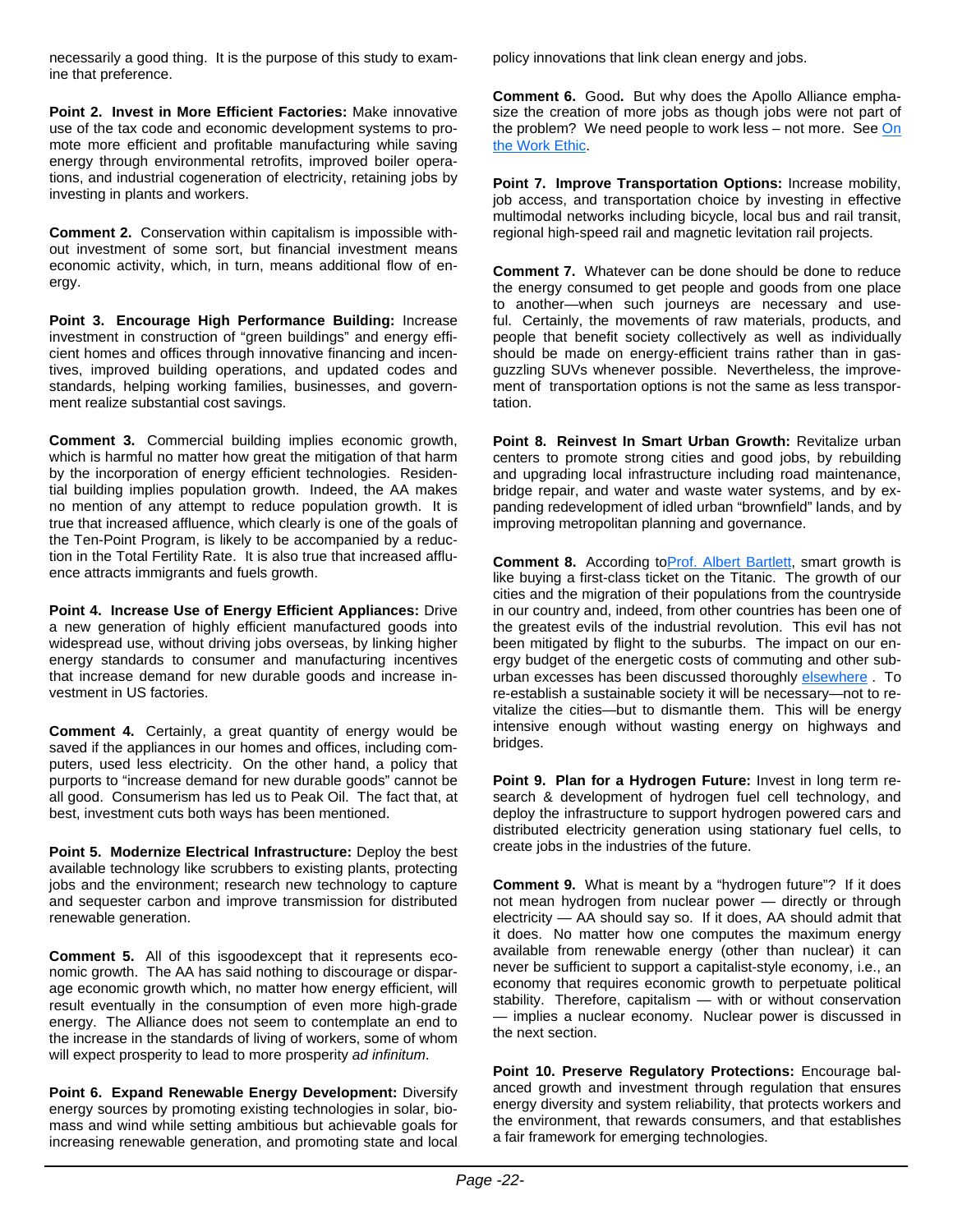necessarily a good thing. It is the purpose of this study to examine that preference.

**Point 2. Invest in More Efficient Factories:** Make innovative use of the tax code and economic development systems to promote more efficient and profitable manufacturing while saving energy through environmental retrofits, improved boiler operations, and industrial cogeneration of electricity, retaining jobs by investing in plants and workers.

**Comment 2.** Conservation within capitalism is impossible without investment of some sort, but financial investment means economic activity, which, in turn, means additional flow of energy.

**Point 3. Encourage High Performance Building:** Increase investment in construction of "green buildings" and energy efficient homes and offices through innovative financing and incentives, improved building operations, and updated codes and standards, helping working families, businesses, and government realize substantial cost savings.

**Comment 3.** Commercial building implies economic growth, which is harmful no matter how great the mitigation of that harm by the incorporation of energy efficient technologies. Residential building implies population growth. Indeed, the AA makes no mention of any attempt to reduce population growth. It is true that increased affluence, which clearly is one of the goals of the Ten-Point Program, is likely to be accompanied by a reduction in the Total Fertility Rate. It is also true that increased affluence attracts immigrants and fuels growth.

**Point 4. Increase Use of Energy Efficient Appliances:** Drive a new generation of highly efficient manufactured goods into widespread use, without driving jobs overseas, by linking higher energy standards to consumer and manufacturing incentives that increase demand for new durable goods and increase investment in US factories.

**Comment 4.** Certainly, a great quantity of energy would be saved if the appliances in our homes and offices, including computers, used less electricity. On the other hand, a policy that purports to "increase demand for new durable goods" cannot be all good. Consumerism has led us to Peak Oil. The fact that, at best, investment cuts both ways has been mentioned.

**Point 5. Modernize Electrical Infrastructure:** Deploy the best available technology like scrubbers to existing plants, protecting jobs and the environment; research new technology to capture and sequester carbon and improve transmission for distributed renewable generation.

**Comment 5.** All of this isgoodexcept that it represents economic growth. The AA has said nothing to discourage or disparage economic growth which, no matter how energy efficient, will result eventually in the consumption of even more high-grade energy. The Alliance does not seem to contemplate an end to the increase in the standards of living of workers, some of whom will expect prosperity to lead to more prosperity *ad infinitum*.

**Point 6. Expand Renewable Energy Development:** Diversify energy sources by promoting existing technologies in solar, biomass and wind while setting ambitious but achievable goals for increasing renewable generation, and promoting state and local policy innovations that link clean energy and jobs.

**Comment 6.** Good**.** But why does the Apollo Alliance emphasize the creation of more jobs as though jobs were not part of the problem? We need people to work less – not more. See On the Work Ethic.

**Point 7. Improve Transportation Options:** Increase mobility, job access, and transportation choice by investing in effective multimodal networks including bicycle, local bus and rail transit, regional high-speed rail and magnetic levitation rail projects.

**Comment 7.** Whatever can be done should be done to reduce the energy consumed to get people and goods from one place to another—when such journeys are necessary and useful. Certainly, the movements of raw materials, products, and people that benefit society collectively as well as individually should be made on energy-efficient trains rather than in gasguzzling SUVs whenever possible. Nevertheless, the improvement of transportation options is not the same as less transportation.

**Point 8. Reinvest In Smart Urban Growth:** Revitalize urban centers to promote strong cities and good jobs, by rebuilding and upgrading local infrastructure including road maintenance, bridge repair, and water and waste water systems, and by expanding redevelopment of idled urban "brownfield" lands, and by improving metropolitan planning and governance.

**Comment 8.** According to Prof. Albert Bartlett, smart growth is like buying a first-class ticket on the Titanic. The growth of our cities and the migration of their populations from the countryside in our country and, indeed, from other countries has been one of the greatest evils of the industrial revolution. This evil has not been mitigated by flight to the suburbs. The impact on our energy budget of the energetic costs of commuting and other suburban excesses has been discussed thoroughly elsewhere . To re-establish a sustainable society it will be necessary—not to revitalize the cities—but to dismantle them. This will be energy intensive enough without wasting energy on highways and bridges.

**Point 9. Plan for a Hydrogen Future:** Invest in long term research & development of hydrogen fuel cell technology, and deploy the infrastructure to support hydrogen powered cars and distributed electricity generation using stationary fuel cells, to create jobs in the industries of the future.

**Comment 9.** What is meant by a "hydrogen future"? If it does not mean hydrogen from nuclear power — directly or through electricity — AA should say so. If it does, AA should admit that it does. No matter how one computes the maximum energy available from renewable energy (other than nuclear) it can never be sufficient to support a capitalist-style economy, i.e., an economy that requires economic growth to perpetuate political stability. Therefore, capitalism — with or without conservation — implies a nuclear economy. Nuclear power is discussed in the next section.

**Point 10. Preserve Regulatory Protections:** Encourage balanced growth and investment through regulation that ensures energy diversity and system reliability, that protects workers and the environment, that rewards consumers, and that establishes a fair framework for emerging technologies.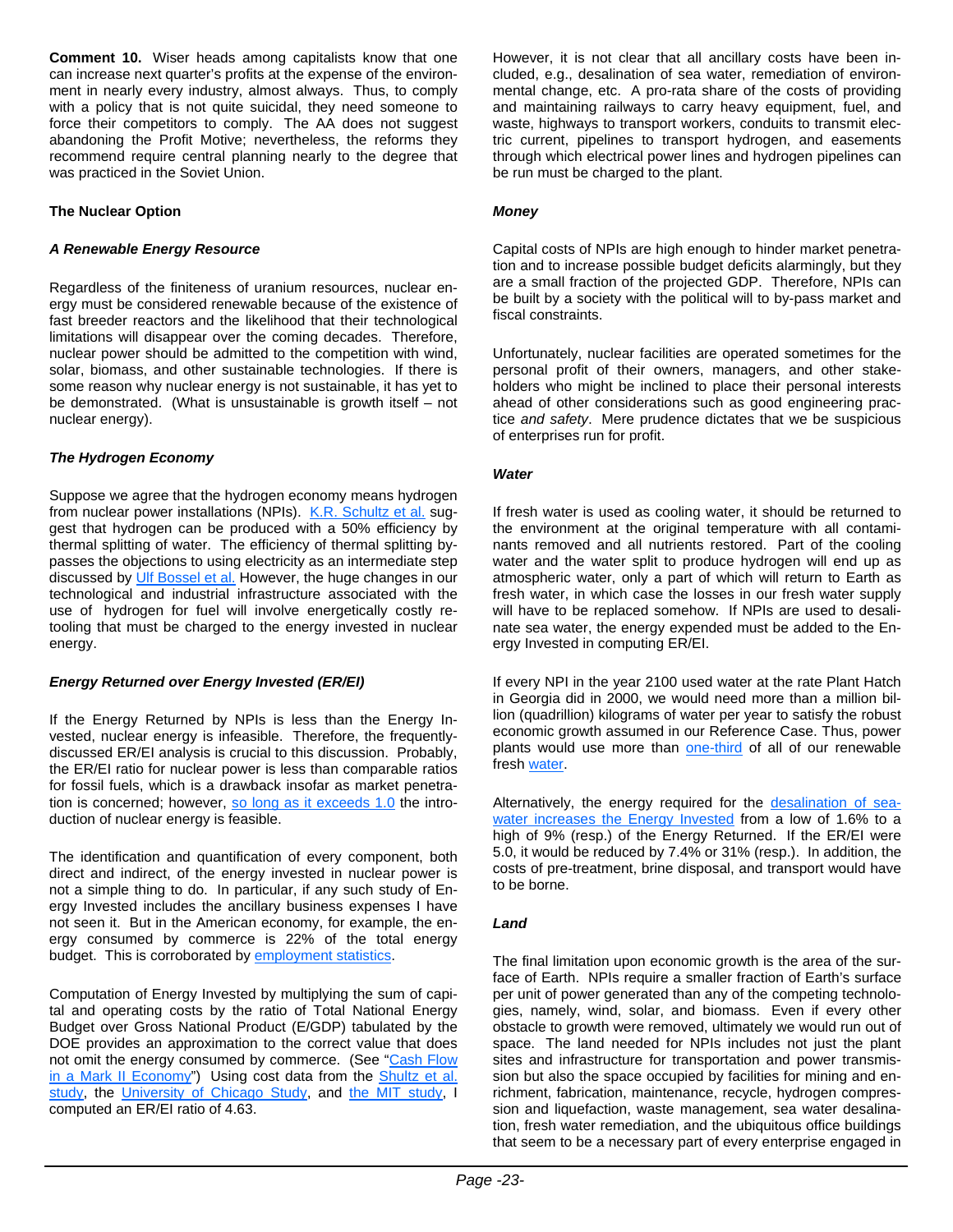**Comment 10.** Wiser heads among capitalists know that one can increase next quarter's profits at the expense of the environment in nearly every industry, almost always. Thus, to comply with a policy that is not quite suicidal, they need someone to force their competitors to comply. The AA does not suggest abandoning the Profit Motive; nevertheless, the reforms they recommend require central planning nearly to the degree that was practiced in the Soviet Union.

#### **The Nuclear Option**

#### *A Renewable Energy Resource*

Regardless of the finiteness of uranium resources, nuclear energy must be considered renewable because of the existence of fast breeder reactors and the likelihood that their technological limitations will disappear over the coming decades. Therefore, nuclear power should be admitted to the competition with wind, solar, biomass, and other sustainable technologies. If there is some reason why nuclear energy is not sustainable, it has yet to be demonstrated. (What is unsustainable is growth itself – not nuclear energy).

#### *The Hydrogen Economy*

Suppose we agree that the hydrogen economy means hydrogen from nuclear power installations (NPIs). K.R. Schultz et al. suggest that hydrogen can be produced with a 50% efficiency by thermal splitting of water. The efficiency of thermal splitting bypasses the objections to using electricity as an intermediate step discussed by Ulf Bossel et al. However, the huge changes in our technological and industrial infrastructure associated with the use of hydrogen for fuel will involve energetically costly retooling that must be charged to the energy invested in nuclear energy.

#### *Energy Returned over Energy Invested (ER/EI)*

If the Energy Returned by NPIs is less than the Energy Invested, nuclear energy is infeasible. Therefore, the frequentlydiscussed ER/EI analysis is crucial to this discussion. Probably, the ER/EI ratio for nuclear power is less than comparable ratios for fossil fuels, which is a drawback insofar as market penetration is concerned; however, so long as it exceeds 1.0 the introduction of nuclear energy is feasible.

The identification and quantification of every component, both direct and indirect, of the energy invested in nuclear power is not a simple thing to do. In particular, if any such study of Energy Invested includes the ancillary business expenses I have not seen it. But in the American economy, for example, the energy consumed by commerce is 22% of the total energy budget. This is corroborated by employment statistics.

Computation of Energy Invested by multiplying the sum of capital and operating costs by the ratio of Total National Energy Budget over Gross National Product (E/GDP) tabulated by the DOE provides an approximation to the correct value that does not omit the energy consumed by commerce. (See "Cash Flow in a Mark II Economy") Using cost data from the **Shultz et al.** study, the University of Chicago Study, and the MIT study, I computed an ER/EI ratio of 4.63.

However, it is not clear that all ancillary costs have been included, e.g., desalination of sea water, remediation of environmental change, etc. A pro-rata share of the costs of providing and maintaining railways to carry heavy equipment, fuel, and waste, highways to transport workers, conduits to transmit electric current, pipelines to transport hydrogen, and easements through which electrical power lines and hydrogen pipelines can be run must be charged to the plant.

#### *Money*

Capital costs of NPIs are high enough to hinder market penetration and to increase possible budget deficits alarmingly, but they are a small fraction of the projected GDP. Therefore, NPIs can be built by a society with the political will to by-pass market and fiscal constraints.

Unfortunately, nuclear facilities are operated sometimes for the personal profit of their owners, managers, and other stakeholders who might be inclined to place their personal interests ahead of other considerations such as good engineering practice *and safety*. Mere prudence dictates that we be suspicious of enterprises run for profit.

#### *Water*

If fresh water is used as cooling water, it should be returned to the environment at the original temperature with all contaminants removed and all nutrients restored. Part of the cooling water and the water split to produce hydrogen will end up as atmospheric water, only a part of which will return to Earth as fresh water, in which case the losses in our fresh water supply will have to be replaced somehow. If NPIs are used to desalinate sea water, the energy expended must be added to the Energy Invested in computing ER/EI.

If every NPI in the year 2100 used water at the rate Plant Hatch in Georgia did in 2000, we would need more than a million billion (quadrillion) kilograms of water per year to satisfy the robust economic growth assumed in our Reference Case. Thus, power plants would use more than one-third of all of our renewable fresh water.

Alternatively, the energy required for the desalination of seawater increases the Energy Invested from a low of 1.6% to a high of 9% (resp.) of the Energy Returned. If the ER/EI were 5.0, it would be reduced by 7.4% or 31% (resp.). In addition, the costs of pre-treatment, brine disposal, and transport would have to be borne.

#### *Land*

The final limitation upon economic growth is the area of the surface of Earth. NPIs require a smaller fraction of Earth's surface per unit of power generated than any of the competing technologies, namely, wind, solar, and biomass. Even if every other obstacle to growth were removed, ultimately we would run out of space. The land needed for NPIs includes not just the plant sites and infrastructure for transportation and power transmission but also the space occupied by facilities for mining and enrichment, fabrication, maintenance, recycle, hydrogen compression and liquefaction, waste management, sea water desalination, fresh water remediation, and the ubiquitous office buildings that seem to be a necessary part of every enterprise engaged in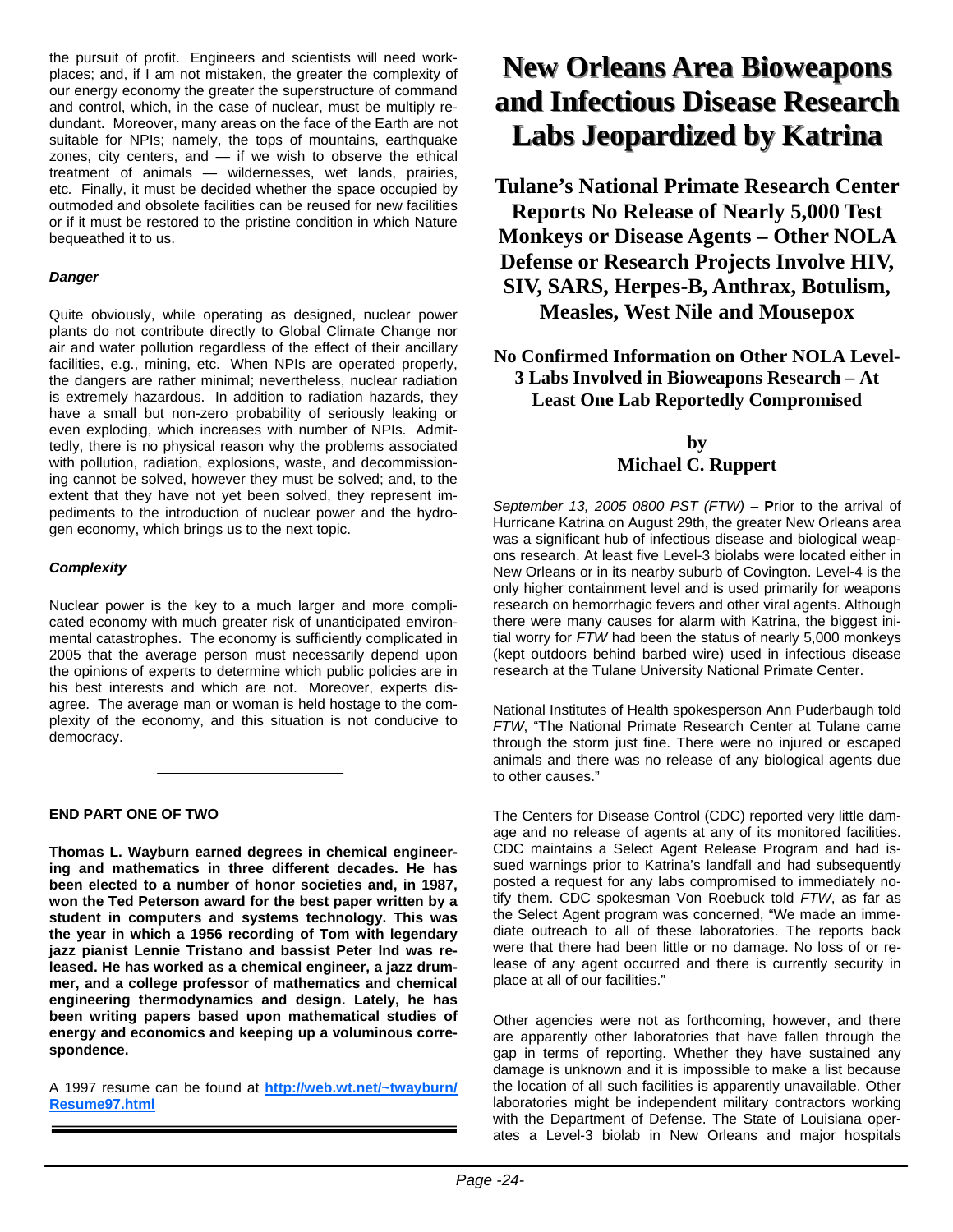the pursuit of profit. Engineers and scientists will need workplaces; and, if I am not mistaken, the greater the complexity of our energy economy the greater the superstructure of command and control, which, in the case of nuclear, must be multiply redundant. Moreover, many areas on the face of the Earth are not suitable for NPIs; namely, the tops of mountains, earthquake zones, city centers, and — if we wish to observe the ethical treatment of animals — wildernesses, wet lands, prairies, etc*.* Finally, it must be decided whether the space occupied by outmoded and obsolete facilities can be reused for new facilities or if it must be restored to the pristine condition in which Nature bequeathed it to us.

#### *Danger*

Quite obviously, while operating as designed, nuclear power plants do not contribute directly to Global Climate Change nor air and water pollution regardless of the effect of their ancillary facilities, e.g., mining, etc. When NPIs are operated properly, the dangers are rather minimal; nevertheless, nuclear radiation is extremely hazardous. In addition to radiation hazards, they have a small but non-zero probability of seriously leaking or even exploding, which increases with number of NPIs. Admittedly, there is no physical reason why the problems associated with pollution, radiation, explosions, waste, and decommissioning cannot be solved, however they must be solved; and, to the extent that they have not yet been solved, they represent impediments to the introduction of nuclear power and the hydrogen economy, which brings us to the next topic.

#### *Complexity*

Nuclear power is the key to a much larger and more complicated economy with much greater risk of unanticipated environmental catastrophes. The economy is sufficiently complicated in 2005 that the average person must necessarily depend upon the opinions of experts to determine which public policies are in his best interests and which are not. Moreover, experts disagree. The average man or woman is held hostage to the complexity of the economy, and this situation is not conducive to democracy.

#### **END PART ONE OF TWO**

**Thomas L. Wayburn earned degrees in chemical engineering and mathematics in three different decades. He has been elected to a number of honor societies and, in 1987, won the Ted Peterson award for the best paper written by a student in computers and systems technology. This was the year in which a 1956 recording of Tom with legendary jazz pianist Lennie Tristano and bassist Peter Ind was released. He has worked as a chemical engineer, a jazz drummer, and a college professor of mathematics and chemical engineering thermodynamics and design. Lately, he has been writing papers based upon mathematical studies of energy and economics and keeping up a voluminous correspondence.** 

A 1997 resume can be found at **http://web.wt.net/~twayburn/ Resume97.html**

## **New Orleans Area Bioweapons and Infectious Disease Research and Infectious Disease Research Labs Jeopardized by Katrina Labs Jeopardized by Katrina**

**Tulane's National Primate Research Center Reports No Release of Nearly 5,000 Test Monkeys or Disease Agents – Other NOLA Defense or Research Projects Involve HIV, SIV, SARS, Herpes-B, Anthrax, Botulism, Measles, West Nile and Mousepox** 

**No Confirmed Information on Other NOLA Level-3 Labs Involved in Bioweapons Research – At Least One Lab Reportedly Compromised**

#### **by Michael C. Ruppert**

*September 13, 2005 0800 PST (FTW)* – **P**rior to the arrival of Hurricane Katrina on August 29th, the greater New Orleans area was a significant hub of infectious disease and biological weapons research. At least five Level-3 biolabs were located either in New Orleans or in its nearby suburb of Covington. Level-4 is the only higher containment level and is used primarily for weapons research on hemorrhagic fevers and other viral agents. Although there were many causes for alarm with Katrina, the biggest initial worry for *FTW* had been the status of nearly 5,000 monkeys (kept outdoors behind barbed wire) used in infectious disease research at the Tulane University National Primate Center.

National Institutes of Health spokesperson Ann Puderbaugh told *FTW*, "The National Primate Research Center at Tulane came through the storm just fine. There were no injured or escaped animals and there was no release of any biological agents due to other causes."

The Centers for Disease Control (CDC) reported very little damage and no release of agents at any of its monitored facilities. CDC maintains a Select Agent Release Program and had issued warnings prior to Katrina's landfall and had subsequently posted a request for any labs compromised to immediately notify them. CDC spokesman Von Roebuck told *FTW*, as far as the Select Agent program was concerned, "We made an immediate outreach to all of these laboratories. The reports back were that there had been little or no damage. No loss of or release of any agent occurred and there is currently security in place at all of our facilities."

Other agencies were not as forthcoming, however, and there are apparently other laboratories that have fallen through the gap in terms of reporting. Whether they have sustained any damage is unknown and it is impossible to make a list because the location of all such facilities is apparently unavailable. Other laboratories might be independent military contractors working with the Department of Defense. The State of Louisiana operates a Level-3 biolab in New Orleans and major hospitals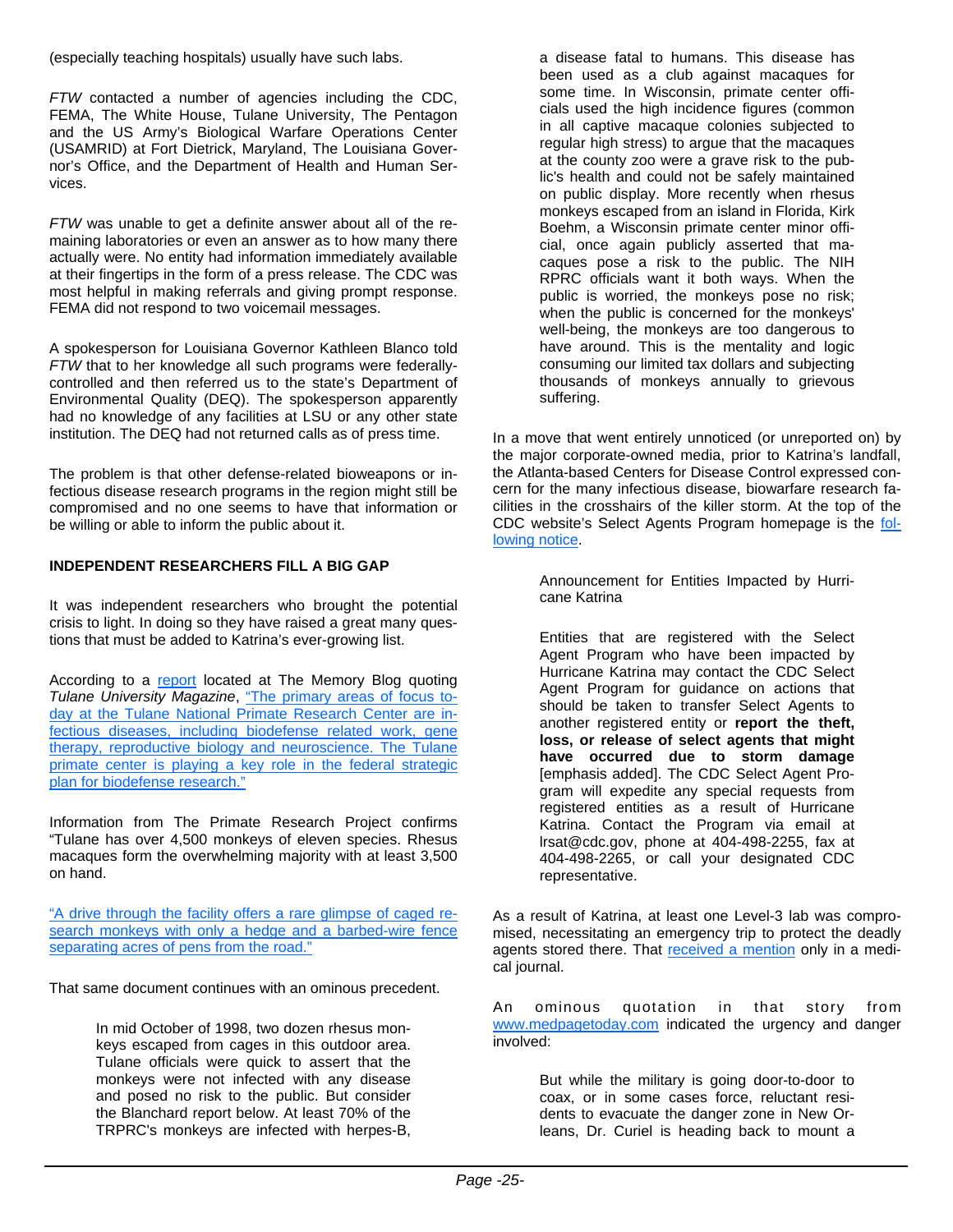(especially teaching hospitals) usually have such labs.

*FTW* contacted a number of agencies including the CDC, FEMA, The White House, Tulane University, The Pentagon and the US Army's Biological Warfare Operations Center (USAMRID) at Fort Dietrick, Maryland, The Louisiana Governor's Office, and the Department of Health and Human Services.

*FTW* was unable to get a definite answer about all of the remaining laboratories or even an answer as to how many there actually were. No entity had information immediately available at their fingertips in the form of a press release. The CDC was most helpful in making referrals and giving prompt response. FEMA did not respond to two voicemail messages.

A spokesperson for Louisiana Governor Kathleen Blanco told *FTW* that to her knowledge all such programs were federallycontrolled and then referred us to the state's Department of Environmental Quality (DEQ). The spokesperson apparently had no knowledge of any facilities at LSU or any other state institution. The DEQ had not returned calls as of press time.

The problem is that other defense-related bioweapons or infectious disease research programs in the region might still be compromised and no one seems to have that information or be willing or able to inform the public about it.

#### **INDEPENDENT RESEARCHERS FILL A BIG GAP**

It was independent researchers who brought the potential crisis to light. In doing so they have raised a great many questions that must be added to Katrina's ever-growing list.

According to a report located at The Memory Blog quoting *Tulane University Magazine*, "The primary areas of focus today at the Tulane National Primate Research Center are infectious diseases, including biodefense related work, gene therapy, reproductive biology and neuroscience. The Tulane primate center is playing a key role in the federal strategic plan for biodefense research."

Information from The Primate Research Project confirms "Tulane has over 4,500 monkeys of eleven species. Rhesus macaques form the overwhelming majority with at least 3,500 on hand.

"A drive through the facility offers a rare glimpse of caged research monkeys with only a hedge and a barbed-wire fence separating acres of pens from the road."

That same document continues with an ominous precedent.

In mid October of 1998, two dozen rhesus monkeys escaped from cages in this outdoor area. Tulane officials were quick to assert that the monkeys were not infected with any disease and posed no risk to the public. But consider the Blanchard report below. At least 70% of the TRPRC's monkeys are infected with herpes-B, a disease fatal to humans. This disease has been used as a club against macaques for some time. In Wisconsin, primate center officials used the high incidence figures (common in all captive macaque colonies subjected to regular high stress) to argue that the macaques at the county zoo were a grave risk to the public's health and could not be safely maintained on public display. More recently when rhesus monkeys escaped from an island in Florida, Kirk Boehm, a Wisconsin primate center minor official, once again publicly asserted that macaques pose a risk to the public. The NIH RPRC officials want it both ways. When the public is worried, the monkeys pose no risk; when the public is concerned for the monkeys' well-being, the monkeys are too dangerous to have around. This is the mentality and logic consuming our limited tax dollars and subjecting thousands of monkeys annually to grievous suffering.

In a move that went entirely unnoticed (or unreported on) by the major corporate-owned media, prior to Katrina's landfall, the Atlanta-based Centers for Disease Control expressed concern for the many infectious disease, biowarfare research facilities in the crosshairs of the killer storm. At the top of the CDC website's Select Agents Program homepage is the following notice.

> Announcement for Entities Impacted by Hurricane Katrina

Entities that are registered with the Select Agent Program who have been impacted by Hurricane Katrina may contact the CDC Select Agent Program for guidance on actions that should be taken to transfer Select Agents to another registered entity or **report the theft, loss, or release of select agents that might have occurred due to storm damage** [emphasis added]. The CDC Select Agent Program will expedite any special requests from registered entities as a result of Hurricane Katrina. Contact the Program via email at lrsat@cdc.gov, phone at 404-498-2255, fax at 404-498-2265, or call your designated CDC representative.

As a result of Katrina, at least one Level-3 lab was compromised, necessitating an emergency trip to protect the deadly agents stored there. That received a mention only in a medical journal.

An ominous quotation in that story from www.medpagetoday.com indicated the urgency and danger involved:

> But while the military is going door-to-door to coax, or in some cases force, reluctant residents to evacuate the danger zone in New Orleans, Dr. Curiel is heading back to mount a